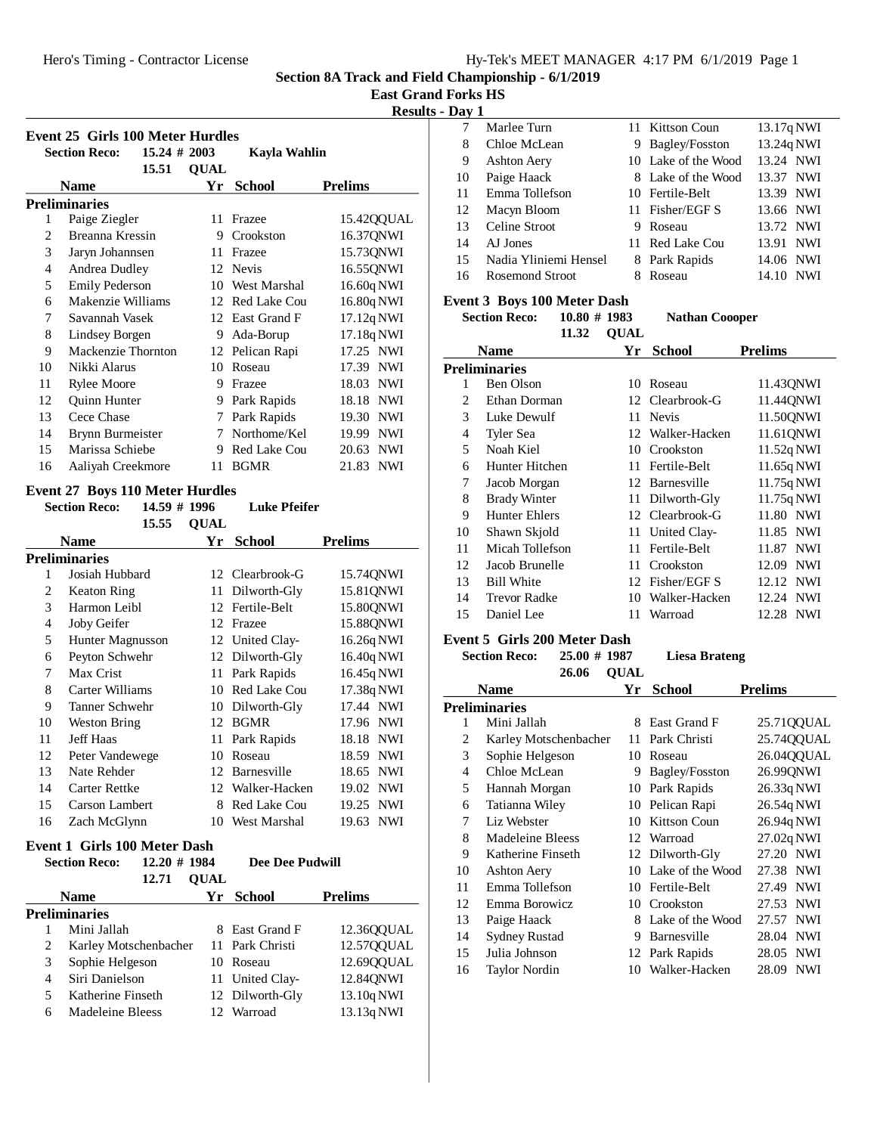**East Grand Forks HS**

# **Results - Day 1**

| <b>Event 25 Girls 100 Meter Hurdles</b> |                                         |             |                 |                     |  |
|-----------------------------------------|-----------------------------------------|-------------|-----------------|---------------------|--|
|                                         | <b>Section Reco:</b><br>$15.24 \# 2003$ |             | Kayla Wahlin    |                     |  |
|                                         | 15.51                                   | <b>QUAL</b> |                 |                     |  |
|                                         | <b>Name</b>                             | Yr          | <b>School</b>   | <b>Prelims</b>      |  |
|                                         | <b>Preliminaries</b>                    |             |                 |                     |  |
| 1                                       | Paige Ziegler                           | 11          | Frazee          | 15.42QQUAL          |  |
| 2                                       | Breanna Kressin                         | 9           | Crookston       | 16.37QNWI           |  |
| 3                                       | Jaryn Johannsen                         | 11          | Frazee          | 15.73QNWI           |  |
| 4                                       | Andrea Dudley                           |             | 12 Nevis        | 16.55QNWI           |  |
| 5                                       | <b>Emily Pederson</b>                   | 10          | West Marshal    | 16.60q NWI          |  |
| 6                                       | Makenzie Williams                       |             | 12 Red Lake Cou | 16.80q NWI          |  |
| 7                                       | Savannah Vasek                          | 12          | East Grand F    | 17.12q NWI          |  |
| 8                                       | Lindsey Borgen                          | 9           | Ada-Borup       | 17.18q NWI          |  |
| 9                                       | Mackenzie Thornton                      |             | 12 Pelican Rapi | 17.25 NWI           |  |
| 10                                      | Nikki Alarus                            | 10          | Roseau          | 17.39 NWI           |  |
| 11                                      | <b>Rylee Moore</b>                      | 9           | Frazee          | 18.03<br><b>NWI</b> |  |
| 12                                      | Quinn Hunter                            | 9           | Park Rapids     | <b>NWI</b><br>18.18 |  |
| 13                                      | Cece Chase                              | 7           | Park Rapids     | <b>NWI</b><br>19.30 |  |
| 14                                      | Brynn Burmeister                        | 7           | Northome/Kel    | <b>NWI</b><br>19.99 |  |
| 15                                      | Marissa Schiebe                         | 9           | Red Lake Cou    | <b>NWI</b><br>20.63 |  |
| 16                                      | Aaliyah Creekmore                       | 11          | <b>BGMR</b>     | <b>NWI</b><br>21.83 |  |

# **Event 27 Boys 110 Meter Hurdles**

|    | <b>Section Reco:</b> | 14.59 # 1996 |             | Luke Pfeifer        |                     |
|----|----------------------|--------------|-------------|---------------------|---------------------|
|    |                      | 15.55        | <b>OUAL</b> |                     |                     |
|    | <b>Name</b>          |              | Yr          | School              | <b>Prelims</b>      |
|    | <b>Preliminaries</b> |              |             |                     |                     |
| 1  | Josiah Hubbard       |              |             | 12 Clearbrook-G     | 15.74QNWI           |
| 2  | Keaton Ring          |              | 11          | Dilworth-Gly        | 15.81QNWI           |
| 3  | Harmon Leibl         |              | 12          | Fertile-Belt        | 15.80QNWI           |
| 4  | <b>Joby Geifer</b>   |              | 12          | Frazee              | 15.88QNWI           |
| 5  | Hunter Magnusson     |              | 12          | United Clay-        | 16.26q NWI          |
| 6  | Peyton Schwehr       |              | 12          | Dilworth-Gly        | 16.40q NWI          |
| 7  | Max Crist            |              | 11          | Park Rapids         | 16.45q NWI          |
| 8  | Carter Williams      |              | 10          | Red Lake Cou        | 17.38q NWI          |
| 9  | Tanner Schwehr       |              | 10          | Dilworth-Gly        | 17.44 NWI           |
| 10 | <b>Weston Bring</b>  |              | 12          | <b>BGMR</b>         | 17.96 NWI           |
| 11 | <b>Jeff Haas</b>     |              | 11          | Park Rapids         | NWI<br>18.18        |
| 12 | Peter Vandewege      |              | 10          | Roseau              | <b>NWI</b><br>18.59 |
| 13 | Nate Rehder          |              | 12          | <b>Barnesville</b>  | 18.65 NWI           |
| 14 | Carter Rettke        |              | 12          | Walker-Hacken       | NWI<br>19.02        |
| 15 | Carson Lambert       |              | 8           | <b>Red Lake Cou</b> | <b>NWI</b><br>19.25 |
| 16 | Zach McGlynn         |              | 10          | West Marshal        | <b>NWI</b><br>19.63 |

# **Event 1 Girls 100 Meter Dash**<br>Section **Pece**: 12.20 # 1984

|   | <b>Section Reco:</b>  | $12.20 \# 1984$<br>12.71 | <b>OUAL</b> | <b>Dee Dee Pudwill</b> |                |
|---|-----------------------|--------------------------|-------------|------------------------|----------------|
|   | <b>Name</b>           |                          | Yr          | <b>School</b>          | <b>Prelims</b> |
|   | <b>Preliminaries</b>  |                          |             |                        |                |
|   | Mini Jallah           |                          |             | 8 East Grand F         | 12.3600UAL     |
| 2 | Karley Motschenbacher |                          |             | 11 Park Christi        | 12.5700UAL     |
| 3 | Sophie Helgeson       |                          |             | 10 Roseau              | 12.6900UAL     |
| 4 | Siri Danielson        |                          |             | 11 United Clay-        | 12.84QNWI      |
| 5 | Katherine Finseth     |                          |             | 12 Dilworth-Gly        | 13.10q NWI     |
| 6 | Madeleine Bleess      |                          |             | 12 Warroad             | 13.13q NWI     |

| — <b>…</b> , |                        |   |                     |                     |
|--------------|------------------------|---|---------------------|---------------------|
|              | Marlee Turn            |   | 11 Kittson Coun     | 13.17q NWI          |
| 8            | Chloe McLean           |   | 9 Bagley/Fosston    | 13.24q NWI          |
| 9            | Ashton Aery            |   | 10 Lake of the Wood | 13.24 NWI           |
| 10           | Paige Haack            |   | 8 Lake of the Wood  | 13.37 NWI           |
| 11           | Emma Tollefson         |   | 10 Fertile-Belt     | 13.39 NWI           |
| 12           | Macyn Bloom            |   | 11 Fisher/EGF S     | 13.66 NWI           |
| 13           | Celine Stroot          | 9 | Roseau              | 13.72 NWI           |
| 14           | AJ Jones               |   | 11 Red Lake Cou     | 13.91 NWI           |
| 15           | Nadia Yliniemi Hensel  |   | 8 Park Rapids       | 14.06 NWI           |
| 16           | <b>Rosemond Stroot</b> |   | Roseau              | <b>NWI</b><br>14.10 |
|              |                        |   |                     |                     |

# **Event 3 Boys 100 Meter Dash**

| <b>Section Reco:</b> |                     | $10.80 \# 1983$ |             | <b>Nathan Coooper</b> |                     |
|----------------------|---------------------|-----------------|-------------|-----------------------|---------------------|
|                      |                     | 11.32           | <b>OUAL</b> |                       |                     |
|                      | <b>Name</b>         |                 | Yr          | <b>School</b>         | <b>Prelims</b>      |
|                      | Preliminaries       |                 |             |                       |                     |
| 1                    | Ben Olson           |                 | 10          | Roseau                | 11.43QNWI           |
| 2                    | Ethan Dorman        |                 |             | 12 Clearbrook-G       | 11.44QNWI           |
| 3                    | Luke Dewulf         |                 |             | 11 Nevis              | 11.500NWI           |
| 4                    | Tyler Sea           |                 |             | 12 Walker-Hacken      | 11.61QNWI           |
| 5                    | Noah Kiel           |                 | 10          | Crookston             | 11.52q NWI          |
| 6                    | Hunter Hitchen      |                 |             | 11 Fertile-Belt       | 11.65q NWI          |
| 7                    | Jacob Morgan        |                 |             | 12 Barnesville        | 11.75q NWI          |
| 8                    | <b>Brady Winter</b> |                 | 11.         | Dilworth-Gly          | 11.75q NWI          |
| 9                    | Hunter Ehlers       |                 |             | 12 Clearbrook-G       | 11.80 NWI           |
| 10                   | Shawn Skjold        |                 | 11          | United Clay-          | 11.85 NWI           |
| 11                   | Micah Tollefson     |                 | 11          | Fertile-Belt          | 11.87 NWI           |
| 12                   | Jacob Brunelle      |                 | 11          | Crookston             | <b>NWI</b><br>12.09 |
| 13                   | <b>Bill White</b>   |                 | 12          | Fisher/EGF S          | 12.12 NWI           |
| 14                   | <b>Trevor Radke</b> |                 | 10          | Walker-Hacken         | 12.24 NWI           |
| 15                   | Daniel Lee          |                 | 11          | Warroad               | 12.28 NWI           |

# **Event 5 Girls 200 Meter Dash**

**Section Reco:** 25.00 # 1987 Liesa Brateng 26.06 **QUAL** 

| <b>Name</b>    |                       | Yr | <b>School</b>    | <b>Prelims</b> |
|----------------|-----------------------|----|------------------|----------------|
|                | Preliminaries         |    |                  |                |
| 1              | Mini Jallah           | 8  | East Grand F     | 25.71QQUAL     |
| 2              | Karley Motschenbacher | 11 | Park Christi     | 25.7400UAL     |
| 3              | Sophie Helgeson       | 10 | Roseau           | 26.04QQUAL     |
| $\overline{4}$ | Chloe McLean          | 9  | Bagley/Fosston   | 26.99QNWI      |
| 5              | Hannah Morgan         | 10 | Park Rapids      | 26.33q NWI     |
| 6              | Tatianna Wiley        |    | 10 Pelican Rapi  | 26.54q NWI     |
| 7              | Liz Webster           | 10 | Kittson Coun     | 26.94q NWI     |
| 8              | Madeleine Bleess      |    | 12 Warroad       | 27.02q NWI     |
| 9              | Katherine Finseth     |    | 12 Dilworth-Gly  | 27.20 NWI      |
| 10             | <b>Ashton Aery</b>    | 10 | Lake of the Wood | 27.38 NWI      |
| 11             | Emma Tollefson        | 10 | Fertile-Belt     | 27.49 NWI      |
| 12             | Emma Borowicz         | 10 | Crookston        | 27.53 NWI      |
| 13             | Paige Haack           | 8  | Lake of the Wood | 27.57 NWI      |
| 14             | <b>Sydney Rustad</b>  | 9  | Barnesville      | NWI<br>28.04   |
| 15             | Julia Johnson         |    | 12 Park Rapids   | 28.05 NWI      |
| 16             | <b>Taylor Nordin</b>  |    | 10 Walker-Hacken | 28.09 NWI      |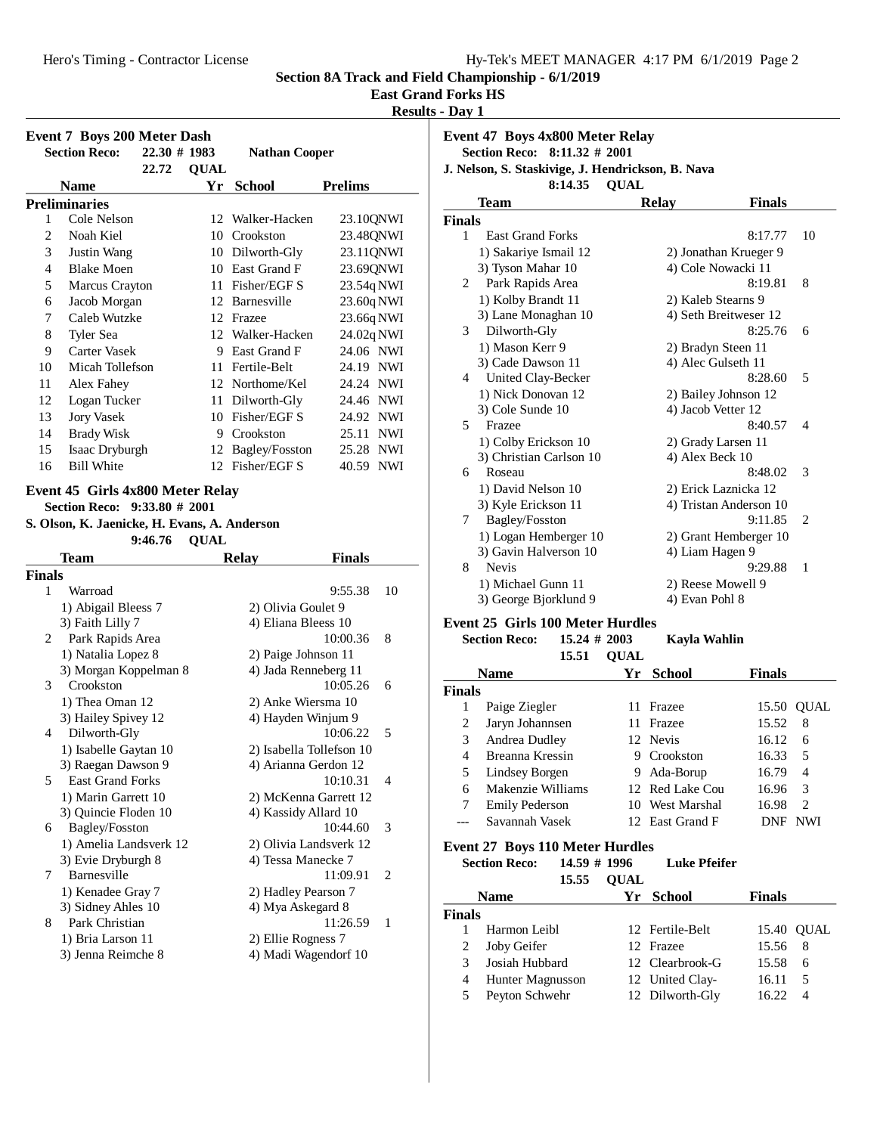**East Grand Forks HS**

**Results - Day 1**

| 22.72<br><b>Name</b>    | <b>QUAL</b><br>Yr                                                                                                                                                                                                                                                                        |                                                                                 |                                                                                                                                                                                                                                                                                                                                                                                                                                                                                                                                                                                                                   |
|-------------------------|------------------------------------------------------------------------------------------------------------------------------------------------------------------------------------------------------------------------------------------------------------------------------------------|---------------------------------------------------------------------------------|-------------------------------------------------------------------------------------------------------------------------------------------------------------------------------------------------------------------------------------------------------------------------------------------------------------------------------------------------------------------------------------------------------------------------------------------------------------------------------------------------------------------------------------------------------------------------------------------------------------------|
|                         |                                                                                                                                                                                                                                                                                          | <b>School</b>                                                                   | <b>Prelims</b>                                                                                                                                                                                                                                                                                                                                                                                                                                                                                                                                                                                                    |
| <b>Preliminaries</b>    |                                                                                                                                                                                                                                                                                          |                                                                                 |                                                                                                                                                                                                                                                                                                                                                                                                                                                                                                                                                                                                                   |
| Cole Nelson             |                                                                                                                                                                                                                                                                                          | 12 Walker-Hacken                                                                | 23.10QNWI                                                                                                                                                                                                                                                                                                                                                                                                                                                                                                                                                                                                         |
| Noah Kiel               |                                                                                                                                                                                                                                                                                          |                                                                                 | 23.48QNWI                                                                                                                                                                                                                                                                                                                                                                                                                                                                                                                                                                                                         |
| Justin Wang             |                                                                                                                                                                                                                                                                                          |                                                                                 | 23.11QNWI                                                                                                                                                                                                                                                                                                                                                                                                                                                                                                                                                                                                         |
| <b>Blake Moen</b>       |                                                                                                                                                                                                                                                                                          |                                                                                 | 23.69QNWI                                                                                                                                                                                                                                                                                                                                                                                                                                                                                                                                                                                                         |
|                         |                                                                                                                                                                                                                                                                                          |                                                                                 | 23.54q NWI                                                                                                                                                                                                                                                                                                                                                                                                                                                                                                                                                                                                        |
| Jacob Morgan            |                                                                                                                                                                                                                                                                                          |                                                                                 | 23.60q NWI                                                                                                                                                                                                                                                                                                                                                                                                                                                                                                                                                                                                        |
| Caleb Wutzke            |                                                                                                                                                                                                                                                                                          |                                                                                 | 23.66q NWI                                                                                                                                                                                                                                                                                                                                                                                                                                                                                                                                                                                                        |
| Tyler Sea               |                                                                                                                                                                                                                                                                                          |                                                                                 | 24.02q NWI                                                                                                                                                                                                                                                                                                                                                                                                                                                                                                                                                                                                        |
| Carter Vasek            |                                                                                                                                                                                                                                                                                          |                                                                                 | 24.06 NWI                                                                                                                                                                                                                                                                                                                                                                                                                                                                                                                                                                                                         |
| Micah Tollefson         |                                                                                                                                                                                                                                                                                          |                                                                                 | 24.19 NWI                                                                                                                                                                                                                                                                                                                                                                                                                                                                                                                                                                                                         |
| Alex Fahey              |                                                                                                                                                                                                                                                                                          |                                                                                 | 24.24 NWI                                                                                                                                                                                                                                                                                                                                                                                                                                                                                                                                                                                                         |
| Logan Tucker            |                                                                                                                                                                                                                                                                                          |                                                                                 | 24.46 NWI                                                                                                                                                                                                                                                                                                                                                                                                                                                                                                                                                                                                         |
| <b>Jory Vasek</b>       |                                                                                                                                                                                                                                                                                          |                                                                                 | 24.92 NWI                                                                                                                                                                                                                                                                                                                                                                                                                                                                                                                                                                                                         |
| <b>Brady Wisk</b>       |                                                                                                                                                                                                                                                                                          |                                                                                 | 25.11 NWI                                                                                                                                                                                                                                                                                                                                                                                                                                                                                                                                                                                                         |
|                         |                                                                                                                                                                                                                                                                                          |                                                                                 | 25.28 NWI                                                                                                                                                                                                                                                                                                                                                                                                                                                                                                                                                                                                         |
| <b>Bill White</b>       |                                                                                                                                                                                                                                                                                          |                                                                                 | 40.59 NWI                                                                                                                                                                                                                                                                                                                                                                                                                                                                                                                                                                                                         |
| 9:46.76                 |                                                                                                                                                                                                                                                                                          |                                                                                 |                                                                                                                                                                                                                                                                                                                                                                                                                                                                                                                                                                                                                   |
| <b>Team</b>             |                                                                                                                                                                                                                                                                                          |                                                                                 | <b>Finals</b>                                                                                                                                                                                                                                                                                                                                                                                                                                                                                                                                                                                                     |
| Finals                  |                                                                                                                                                                                                                                                                                          |                                                                                 |                                                                                                                                                                                                                                                                                                                                                                                                                                                                                                                                                                                                                   |
| Warroad                 |                                                                                                                                                                                                                                                                                          |                                                                                 | 9:55.38<br>10                                                                                                                                                                                                                                                                                                                                                                                                                                                                                                                                                                                                     |
|                         |                                                                                                                                                                                                                                                                                          |                                                                                 |                                                                                                                                                                                                                                                                                                                                                                                                                                                                                                                                                                                                                   |
|                         |                                                                                                                                                                                                                                                                                          |                                                                                 |                                                                                                                                                                                                                                                                                                                                                                                                                                                                                                                                                                                                                   |
|                         |                                                                                                                                                                                                                                                                                          |                                                                                 | 10:00.36<br>8                                                                                                                                                                                                                                                                                                                                                                                                                                                                                                                                                                                                     |
|                         |                                                                                                                                                                                                                                                                                          |                                                                                 |                                                                                                                                                                                                                                                                                                                                                                                                                                                                                                                                                                                                                   |
|                         |                                                                                                                                                                                                                                                                                          |                                                                                 | 10:05.26<br>6                                                                                                                                                                                                                                                                                                                                                                                                                                                                                                                                                                                                     |
|                         |                                                                                                                                                                                                                                                                                          |                                                                                 |                                                                                                                                                                                                                                                                                                                                                                                                                                                                                                                                                                                                                   |
|                         |                                                                                                                                                                                                                                                                                          |                                                                                 |                                                                                                                                                                                                                                                                                                                                                                                                                                                                                                                                                                                                                   |
|                         |                                                                                                                                                                                                                                                                                          |                                                                                 | 10:06.22<br>5                                                                                                                                                                                                                                                                                                                                                                                                                                                                                                                                                                                                     |
|                         |                                                                                                                                                                                                                                                                                          |                                                                                 |                                                                                                                                                                                                                                                                                                                                                                                                                                                                                                                                                                                                                   |
|                         |                                                                                                                                                                                                                                                                                          |                                                                                 |                                                                                                                                                                                                                                                                                                                                                                                                                                                                                                                                                                                                                   |
| <b>East Grand Forks</b> |                                                                                                                                                                                                                                                                                          |                                                                                 | 10:10.31<br>4                                                                                                                                                                                                                                                                                                                                                                                                                                                                                                                                                                                                     |
|                         |                                                                                                                                                                                                                                                                                          | 2) McKenna Garrett 12                                                           |                                                                                                                                                                                                                                                                                                                                                                                                                                                                                                                                                                                                                   |
| 3) Quincie Floden 10    |                                                                                                                                                                                                                                                                                          | 4) Kassidy Allard 10                                                            |                                                                                                                                                                                                                                                                                                                                                                                                                                                                                                                                                                                                                   |
| Bagley/Fosston          |                                                                                                                                                                                                                                                                                          |                                                                                 | 10:44.60<br>3                                                                                                                                                                                                                                                                                                                                                                                                                                                                                                                                                                                                     |
|                         |                                                                                                                                                                                                                                                                                          | 2) Olivia Landsverk 12                                                          |                                                                                                                                                                                                                                                                                                                                                                                                                                                                                                                                                                                                                   |
| 3) Evie Dryburgh 8      |                                                                                                                                                                                                                                                                                          | 4) Tessa Manecke 7                                                              |                                                                                                                                                                                                                                                                                                                                                                                                                                                                                                                                                                                                                   |
| Barnesville             |                                                                                                                                                                                                                                                                                          |                                                                                 | 11:09.91<br>2                                                                                                                                                                                                                                                                                                                                                                                                                                                                                                                                                                                                     |
| 1) Kenadee Gray 7       |                                                                                                                                                                                                                                                                                          | 2) Hadley Pearson 7                                                             |                                                                                                                                                                                                                                                                                                                                                                                                                                                                                                                                                                                                                   |
|                         |                                                                                                                                                                                                                                                                                          |                                                                                 |                                                                                                                                                                                                                                                                                                                                                                                                                                                                                                                                                                                                                   |
| Park Christian          |                                                                                                                                                                                                                                                                                          |                                                                                 | 11:26.59<br>1                                                                                                                                                                                                                                                                                                                                                                                                                                                                                                                                                                                                     |
| 1) Bria Larson 11       |                                                                                                                                                                                                                                                                                          | 2) Ellie Rogness 7                                                              |                                                                                                                                                                                                                                                                                                                                                                                                                                                                                                                                                                                                                   |
|                         |                                                                                                                                                                                                                                                                                          | 4) Madi Wagendorf 10                                                            |                                                                                                                                                                                                                                                                                                                                                                                                                                                                                                                                                                                                                   |
| 3) Jenna Reimche 8      |                                                                                                                                                                                                                                                                                          |                                                                                 |                                                                                                                                                                                                                                                                                                                                                                                                                                                                                                                                                                                                                   |
|                         |                                                                                                                                                                                                                                                                                          |                                                                                 |                                                                                                                                                                                                                                                                                                                                                                                                                                                                                                                                                                                                                   |
|                         |                                                                                                                                                                                                                                                                                          |                                                                                 |                                                                                                                                                                                                                                                                                                                                                                                                                                                                                                                                                                                                                   |
| 2                       | Marcus Crayton<br>Isaac Dryburgh<br>1) Abigail Bleess 7<br>3) Faith Lilly 7<br>Park Rapids Area<br>1) Natalia Lopez 8<br>Crookston<br>1) Thea Oman 12<br>3) Hailey Spivey 12<br>Dilworth-Gly<br>1) Isabelle Gaytan 10<br>3) Raegan Dawson 9<br>1) Marin Garrett 10<br>3) Sidney Ahles 10 | Section Reco: 9:33.80 # 2001<br>3) Morgan Koppelman 8<br>1) Amelia Landsverk 12 | 10 Crookston<br>10 Dilworth-Gly<br>10 East Grand F<br>11 Fisher/EGF S<br>12 Barnesville<br>12 Frazee<br>12 Walker-Hacken<br>9 East Grand F<br>11 Fertile-Belt<br>12 Northome/Kel<br>11 Dilworth-Gly<br>10 Fisher/EGF S<br>9 Crookston<br>12 Bagley/Fosston<br>12 Fisher/EGF S<br>Event 45 Girls 4x800 Meter Relay<br>S. Olson, K. Jaenicke, H. Evans, A. Anderson<br><b>QUAL</b><br><b>Relay</b><br>2) Olivia Goulet 9<br>4) Eliana Bleess 10<br>2) Paige Johnson 11<br>4) Jada Renneberg 11<br>2) Anke Wiersma 10<br>4) Hayden Winjum 9<br>2) Isabella Tollefson 10<br>4) Arianna Gerdon 12<br>4) Mya Askegard 8 |

**Event 47 Boys 4x800 Meter Relay Section Reco: 8:11.32 # 2001 J. Nelson, S. Staskivige, J. Hendrickson, B. Nava** 8:14.35 **QUAL Team Relay Finals Finals** 1 East Grand Forks 8:17.77 10 1) Sakariye Ismail 12 2) Jonathan Krueger 9<br>3) Tyson Mahar 10 4) Cole Nowacki 11 4) Cole Nowacki 11 2 Park Rapids Area 8:19.81 8 1) Kolby Brandt 11 2) Kaleb Stearns 9 3) Lane Monaghan 10 4) Seth Breitweser 12<br>Dilworth-Gly 8:25.76 6 3 Dilworth-Gly<br>3:1) Mason Kerr 9: 2) Bradyn Steen 11

|    | 3) Cade Dawson 11       | 4) Alec Gulseth 11     |   |
|----|-------------------------|------------------------|---|
| 4  | United Clay-Becker      | 8:28.60                | 5 |
|    | 1) Nick Donovan 12      | 2) Bailey Johnson 12   |   |
|    | 3) Cole Sunde 10        | 4) Jacob Vetter 12     |   |
| 5. | Frazee                  | 8:40.57                | 4 |
|    | 1) Colby Erickson 10    | 2) Grady Larsen 11     |   |
|    | 3) Christian Carlson 10 | 4) Alex Beck 10        |   |
| 6  | Roseau                  | 8:48.02                | 3 |
|    | 1) David Nelson 10      | 2) Erick Laznicka 12   |   |
|    | 3) Kyle Erickson 11     | 4) Tristan Anderson 10 |   |
| 7  | Bagley/Fosston          | 9:11.85                | 2 |
|    | 1) Logan Hemberger 10   | 2) Grant Hemberger 10  |   |
|    | 3) Gavin Halverson 10   | 4) Liam Hagen 9        |   |
| 8  | <b>Nevis</b>            | 9:29.88                | 1 |
|    | 1) Michael Gunn 11      | 2) Reese Mowell 9      |   |
|    | 3) George Biorklund 9   | 4) Evan Pohl 8         |   |

#### **Event 25 Girls 100 Meter Hurdles**

|               | <b>Section Reco:</b>  | $15.24 \# 2003$ |             | Kayla Wahlin    |               |                |
|---------------|-----------------------|-----------------|-------------|-----------------|---------------|----------------|
|               |                       | 15.51           | <b>OUAL</b> |                 |               |                |
|               | <b>Name</b>           |                 | Yr          | <b>School</b>   | <b>Finals</b> |                |
| <b>Finals</b> |                       |                 |             |                 |               |                |
| 1             | Paige Ziegler         |                 | 11          | Frazee          | 15.50         | OUAL           |
| 2             | Jaryn Johannsen       |                 |             | 11 Frazee       | 15.52         | 8              |
| 3             | Andrea Dudley         |                 |             | 12 Nevis        | 16.12         | 6              |
| 4             | Breanna Kressin       |                 |             | 9 Crookston     | 16.33         | 5              |
| 5             | Lindsey Borgen        |                 | 9.          | Ada-Borup       | 16.79         | 4              |
| 6             | Makenzie Williams     |                 |             | 12 Red Lake Cou | 16.96         | 3              |
| 7             | <b>Emily Pederson</b> |                 |             | 10 West Marshal | 16.98         | $\mathfrak{D}$ |
|               | Savannah Vasek        |                 |             | 12 East Grand F | DNF           | NWI            |

# **Event 27 Boys 110 Meter Hurdles**

**Section Reco:** 14.59 # 1996 Luke Pfeifer 15.55 **QUAL** 

| <b>Name</b>             |  | Yr School |                                                                                       |               |
|-------------------------|--|-----------|---------------------------------------------------------------------------------------|---------------|
| Finals                  |  |           |                                                                                       |               |
| Harmon Leibl            |  |           |                                                                                       | 15.40 QUAL    |
| Joby Geifer             |  |           | 15.56 8                                                                               |               |
| Josiah Hubbard          |  |           | 15.58                                                                                 | -6            |
| <b>Hunter Magnusson</b> |  |           | 16.11                                                                                 | -5            |
| Peyton Schwehr          |  |           | 16.22                                                                                 | 4             |
|                         |  |           | 12 Fertile-Belt<br>12 Frazee<br>12 Clearbrook-G<br>12 United Clay-<br>12 Dilworth-Gly | <b>Finals</b> |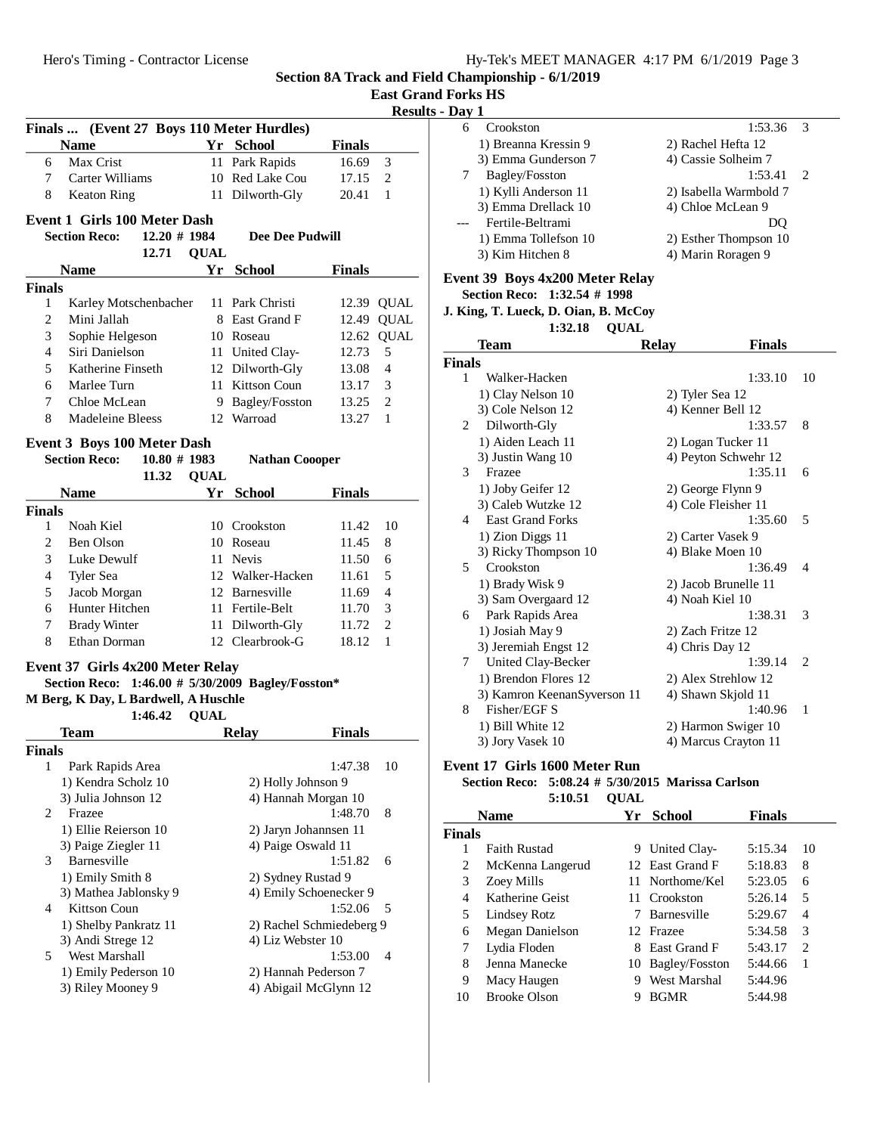| East Grand Forks HS |  |
|---------------------|--|
|                     |  |

# **Results - Day 1**

| Finals  (Event 27 Boys 110 Meter Hurdles) |                                                   |             |                        |                          |  |  |
|-------------------------------------------|---------------------------------------------------|-------------|------------------------|--------------------------|--|--|
|                                           | <b>Name</b>                                       |             | Yr School              | <b>Finals</b>            |  |  |
| 6                                         | Max Crist                                         |             | 11 Park Rapids         | 16.69<br>3               |  |  |
| 7                                         | Carter Williams                                   |             | 10 Red Lake Cou        | $\overline{2}$<br>17.15  |  |  |
| 8                                         | Keaton Ring                                       |             | 11 Dilworth-Gly        | 1<br>20.41               |  |  |
|                                           | <b>Event 1 Girls 100 Meter Dash</b>               |             |                        |                          |  |  |
|                                           | $12.20 \# 1984$<br><b>Section Reco:</b>           |             | Dee Dee Pudwill        |                          |  |  |
|                                           | 12.71                                             | <b>QUAL</b> |                        |                          |  |  |
|                                           | <b>Name</b>                                       |             | Yr School              | Finals                   |  |  |
| <b>Finals</b>                             |                                                   |             |                        |                          |  |  |
| 1                                         | Karley Motschenbacher                             |             | 11 Park Christi        | 12.39 QUAL               |  |  |
| 2                                         | Mini Jallah                                       |             | 8 East Grand F         | <b>QUAL</b><br>12.49     |  |  |
| 3                                         | Sophie Helgeson                                   |             | 10 Roseau              | 12.62<br><b>QUAL</b>     |  |  |
| 4                                         | Siri Danielson                                    |             | 11 United Clay-        | 5<br>12.73               |  |  |
| 5                                         | Katherine Finseth                                 |             | 12 Dilworth-Gly        | 4<br>13.08               |  |  |
| 6                                         | Marlee Turn                                       |             | 11 Kittson Coun        | 3<br>13.17               |  |  |
| 7                                         | Chloe McLean                                      |             | 9 Bagley/Fosston       | $\overline{2}$<br>13.25  |  |  |
| 8                                         | Madeleine Bleess                                  |             | 12 Warroad             | 13.27<br>1               |  |  |
|                                           |                                                   |             |                        |                          |  |  |
| <b>Event 3 Boys 100 Meter Dash</b>        |                                                   |             |                        |                          |  |  |
|                                           | <b>Section Reco:</b><br>$10.80 \# 1983$           |             | <b>Nathan Coooper</b>  |                          |  |  |
|                                           | 11.32                                             | <b>QUAL</b> |                        |                          |  |  |
|                                           | <b>Name</b>                                       |             | Yr School              | <b>Finals</b>            |  |  |
| <b>Finals</b>                             | Noah Kiel                                         |             | 10 Crookston           |                          |  |  |
| 1                                         |                                                   |             |                        | 11.42<br>10              |  |  |
| 2                                         | Ben Olson                                         |             | 10 Roseau              | 11.45<br>8               |  |  |
| 3                                         | Luke Dewulf                                       |             | 11 Nevis               | 11.50<br>6               |  |  |
| 4                                         | Tyler Sea                                         |             | 12 Walker-Hacken       | 5<br>11.61               |  |  |
| 5                                         | Jacob Morgan                                      |             | 12 Barnesville         | $\overline{4}$<br>11.69  |  |  |
| 6                                         | Hunter Hitchen                                    |             | 11 Fertile-Belt        | 3<br>11.70               |  |  |
| 7                                         | <b>Brady Winter</b>                               |             | 11 Dilworth-Gly        | $\overline{2}$<br>11.72  |  |  |
| 8                                         | Ethan Dorman                                      |             | 12 Clearbrook-G        | 1<br>18.12               |  |  |
|                                           | Event 37 Girls 4x200 Meter Relay                  |             |                        |                          |  |  |
|                                           | Section Reco: 1:46.00 # 5/30/2009 Bagley/Fosston* |             |                        |                          |  |  |
|                                           | M Berg, K Day, L Bardwell, A Huschle              |             |                        |                          |  |  |
|                                           | 1:46.42                                           | <b>QUAL</b> |                        |                          |  |  |
|                                           | Team                                              |             | <b>Relay</b>           | <b>Finals</b>            |  |  |
| <b>Finals</b>                             |                                                   |             |                        |                          |  |  |
| 1                                         | Park Rapids Area                                  |             |                        | 1:47.38<br>10            |  |  |
|                                           | 1) Kendra Scholz 10                               |             | 2) Holly Johnson 9     |                          |  |  |
|                                           | 3) Julia Johnson 12                               |             | 4) Hannah Morgan 10    |                          |  |  |
| 2                                         | Frazee                                            |             |                        | 1:48.70<br>8             |  |  |
|                                           | 1) Ellie Reierson 10                              |             | 2) Jaryn Johannsen 11  |                          |  |  |
|                                           | 3) Paige Ziegler 11                               |             | 4) Paige Oswald 11     |                          |  |  |
| 3                                         | Barnesville                                       |             |                        | 1:51.82<br>6             |  |  |
|                                           | 1) Emily Smith 8                                  |             | 2) Sydney Rustad 9     |                          |  |  |
|                                           | 3) Mathea Jablonsky 9                             |             | 4) Emily Schoenecker 9 |                          |  |  |
| 4                                         | Kittson Coun                                      |             |                        | 1:52.06<br>5             |  |  |
|                                           | 1) Shelby Pankratz 11                             |             | 4) Liz Webster 10      | 2) Rachel Schmiedeberg 9 |  |  |
| 5                                         | 3) Andi Strege 12<br>West Marshall                |             |                        | 1:53.00<br>4             |  |  |
|                                           | 1) Emily Pederson 10                              |             | 2) Hannah Pederson 7   |                          |  |  |
|                                           | 3) Riley Mooney 9                                 |             | 4) Abigail McGlynn 12  |                          |  |  |
|                                           |                                                   |             |                        |                          |  |  |

| Crookston            | 1:53.36                | $\mathcal{R}$ |  |
|----------------------|------------------------|---------------|--|
| 1) Breanna Kressin 9 | 2) Rachel Hefta 12     |               |  |
| 3) Emma Gunderson 7  | 4) Cassie Solheim 7    |               |  |
| Bagley/Fosston       | 1:53.41                | $\mathcal{L}$ |  |
| 1) Kylli Anderson 11 | 2) Isabella Warmbold 7 |               |  |
| 3) Emma Drellack 10  | 4) Chloe McLean 9      |               |  |
| Fertile-Beltrami     | DΟ                     |               |  |
| 1) Emma Tollefson 10 | 2) Esther Thompson 10  |               |  |
| 3) Kim Hitchen 8     | 4) Marin Roragen 9     |               |  |
|                      |                        |               |  |

# **Event 39 Boys 4x200 Meter Relay**

**Section Reco: 1:32.54 # 1998**

**J. King, T. Lueck, D. Oian, B. McCoy**

1:32.18 **QUAL** 

|                | Team                         | <b>Finals</b><br><b>Relay</b> |                             |
|----------------|------------------------------|-------------------------------|-----------------------------|
| <b>Finals</b>  |                              |                               |                             |
| 1              | Walker-Hacken                | 1:33.10                       | 10                          |
|                | 1) Clay Nelson 10            | 2) Tyler Sea 12               |                             |
|                | 3) Cole Nelson 12            | 4) Kenner Bell 12             |                             |
| $\mathfrak{D}$ | Dilworth-Gly                 | 1:33.57                       | 8                           |
|                | 1) Aiden Leach 11            | 2) Logan Tucker 11            |                             |
|                | 3) Justin Wang 10            | 4) Peyton Schwehr 12          |                             |
| 3              | Frazee                       | 1:35.11                       | 6                           |
|                | 1) Joby Geifer 12            | 2) George Flynn 9             |                             |
|                | 3) Caleb Wutzke 12           | 4) Cole Fleisher 11           |                             |
| 4              | <b>East Grand Forks</b>      | 1:35.60                       | 5                           |
|                | 1) Zion Diggs 11             | 2) Carter Vasek 9             |                             |
|                | 3) Ricky Thompson 10         | 4) Blake Moen 10              |                             |
| 5              | Crookston                    | 1:36.49                       | $\overline{\mathcal{A}}$    |
|                | 1) Brady Wisk 9              | 2) Jacob Brunelle 11          |                             |
|                | 3) Sam Overgaard 12          | 4) Noah Kiel 10               |                             |
| 6              | Park Rapids Area             | 1:38.31                       | 3                           |
|                | 1) Josiah May 9              | 2) Zach Fritze 12             |                             |
|                | 3) Jeremiah Engst 12         | 4) Chris Day 12               |                             |
| 7              | United Clay-Becker           | 1:39.14                       | $\mathcal{D}_{\mathcal{L}}$ |
|                | 1) Brendon Flores 12         | 2) Alex Strehlow 12           |                             |
|                | 3) Kamron Keenan Syverson 11 | 4) Shawn Skjold 11            |                             |
| 8              | Fisher/EGF S                 | 1:40.96                       | $\mathbf{1}$                |
|                | 1) Bill White 12             | 2) Harmon Swiger 10           |                             |
|                | 3) Jory Vasek 10             | 4) Marcus Crayton 11          |                             |

**Event 17 Girls 1600 Meter Run**

# **Section Reco:** 5:08.24 # 5/30/2015 Marissa Carlson 5:10.51 **QUAL**

|               | <b>Name</b>            | Yг | <b>School</b>      | <b>Finals</b> |                             |
|---------------|------------------------|----|--------------------|---------------|-----------------------------|
| <b>Finals</b> |                        |    |                    |               |                             |
| 1             | <b>Faith Rustad</b>    | 9. | United Clay-       | 5:15.34       | 10                          |
| 2             | McKenna Langerud       |    | 12 East Grand F    | 5:18.83       | 8                           |
| 3             | Zoey Mills             |    | 11 Northome/Kel    | 5:23.05       | 6                           |
| 4             | Katherine Geist        |    | 11 Crookston       | 5:26.14       | 5                           |
| 5             | Lindsey Rotz           |    | <b>Barnesville</b> | 5:29.67       | 4                           |
| 6             | <b>Megan Danielson</b> |    | 12 Frazee          | 5:34.58       | 3                           |
| 7             | Lydia Floden           |    | 8 East Grand F     | 5:43.17       | $\mathcal{D}_{\mathcal{L}}$ |
| 8             | Jenna Manecke          |    | 10 Bagley/Fosston  | 5:44.66       | 1                           |
| 9             | Macy Haugen            | 9  | West Marshal       | 5:44.96       |                             |
| 10            | <b>Brooke Olson</b>    |    | <b>BGMR</b>        | 5:44.98       |                             |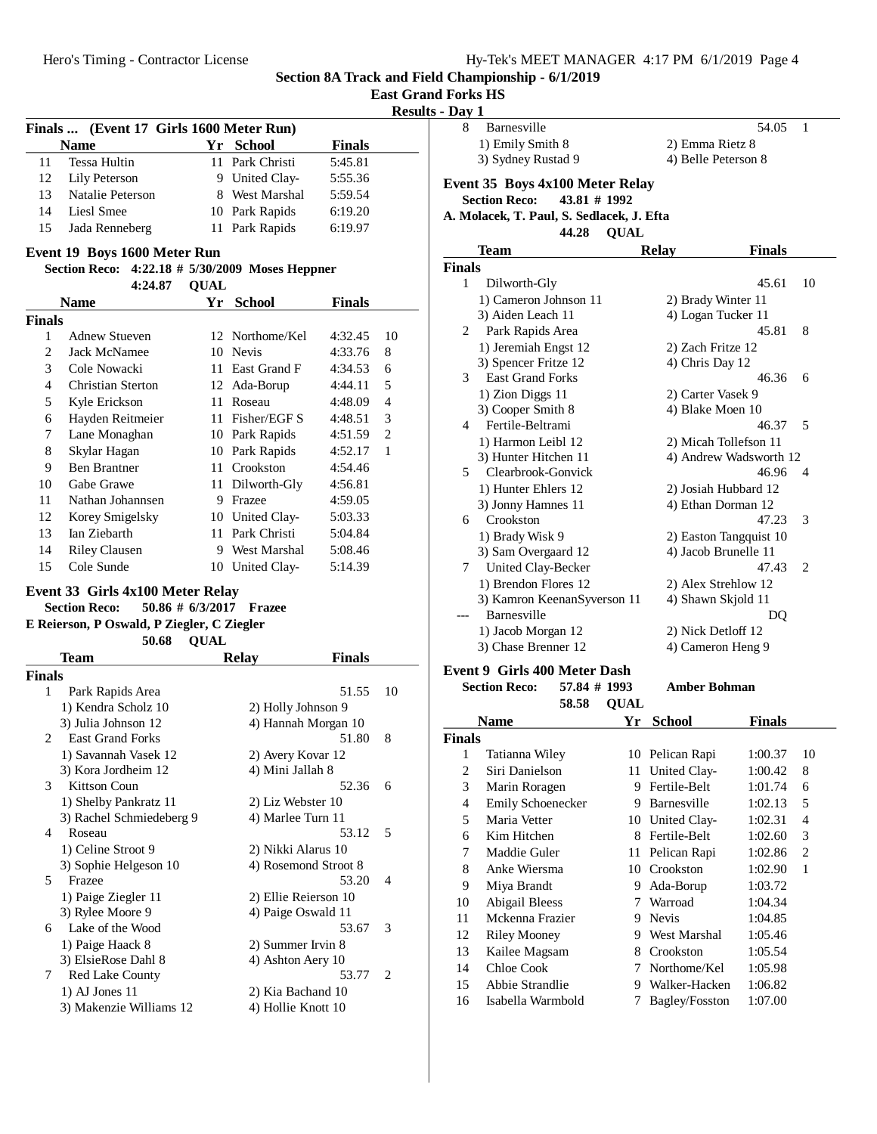**Section 8A Track and Field Championship - 6/1/2019 East Grand Forks HS**

|                |                                                 |             |                                            |               | <b>Results -</b> |
|----------------|-------------------------------------------------|-------------|--------------------------------------------|---------------|------------------|
|                | Finals  (Event 17 Girls 1600 Meter Run)         |             |                                            |               |                  |
|                | <b>Name</b>                                     |             | Yr School                                  | <b>Finals</b> |                  |
| 11             | Tessa Hultin                                    |             | 11 Park Christi                            | 5:45.81       |                  |
| 12             | Lily Peterson                                   |             | 9 United Clay-                             | 5:55.36       |                  |
| 13             | <b>Natalie Peterson</b>                         |             | 8 West Marshal                             | 5:59.54       |                  |
| 14             | Liesl Smee                                      |             | 10 Park Rapids                             | 6:19.20       |                  |
| 15             | Jada Renneberg                                  |             | 11 Park Rapids                             | 6:19.97       |                  |
|                | Event 19 Boys 1600 Meter Run                    |             |                                            |               |                  |
|                | Section Reco: 4:22.18 # 5/30/2009 Moses Heppner |             |                                            |               |                  |
|                | 4:24.87                                         | <b>QUAL</b> |                                            |               |                  |
|                | <b>Name</b>                                     |             | Yr School                                  | <b>Finals</b> |                  |
| <b>Finals</b>  |                                                 |             |                                            |               |                  |
| 1              | <b>Adnew Stueven</b>                            |             | 12 Northome/Kel                            | 4:32.45       | 10               |
| $\overline{c}$ | <b>Jack McNamee</b>                             |             | 10 Nevis                                   | 4:33.76       | 8                |
| 3              | Cole Nowacki                                    |             | 11 East Grand F                            | 4:34.53       | 6                |
| 4              | Christian Sterton                               |             | 12 Ada-Borup                               | 4:44.11       | 5                |
| 5              | Kyle Erickson                                   |             | 11 Roseau                                  | 4:48.09       | $\overline{4}$   |
| 6              | Hayden Reitmeier                                |             | 11 Fisher/EGF S                            | 4:48.51       | 3                |
| 7              | Lane Monaghan                                   |             | 10 Park Rapids                             | 4:51.59       | $\mathbf{2}$     |
| 8              | Skylar Hagan                                    |             | 10 Park Rapids                             | 4:52.17       | 1                |
| 9              | <b>Ben Brantner</b>                             |             | 11 Crookston                               | 4:54.46       |                  |
| 10             | Gabe Grawe                                      |             | 11 Dilworth-Gly                            | 4:56.81       |                  |
| 11             | Nathan Johannsen                                |             | 9 Frazee                                   | 4:59.05       |                  |
| 12             | Korey Smigelsky                                 |             | 10 United Clay-                            | 5:03.33       |                  |
| 13             | Ian Ziebarth                                    |             | 11 Park Christi                            | 5:04.84       |                  |
| 14             | <b>Riley Clausen</b>                            |             | 9 West Marshal                             | 5:08.46       |                  |
| 15             | Cole Sunde                                      |             | 10 United Clay-                            | 5:14.39       |                  |
|                | Event 33 Girls 4x100 Meter Relay                |             |                                            |               |                  |
|                | <b>Section Reco:</b><br>50.86 # 6/3/2017        |             | <b>Frazee</b>                              |               |                  |
|                | E Reierson, P Oswald, P Ziegler, C Ziegler      |             |                                            |               |                  |
|                | 50.68                                           | <b>QUAL</b> |                                            |               |                  |
|                | Team                                            |             | <b>Relay</b>                               | <b>Finals</b> |                  |
| <b>Finals</b>  |                                                 |             |                                            |               |                  |
| 1              | Park Rapids Area                                |             |                                            | 51.55         | 10               |
|                | 1) Kendra Scholz 10                             |             | 2) Holly Johnson 9                         |               |                  |
|                | 3) Julia Johnson 12                             |             | 4) Hannah Morgan 10                        |               |                  |
| 2              | <b>East Grand Forks</b>                         |             |                                            | 51.80         | 8                |
|                | 1) Savannah Vasek 12                            |             | 2) Avery Kovar 12                          |               |                  |
|                | 3) Kora Jordheim 12<br><b>Kittson Coun</b>      |             | 4) Mini Jallah 8                           |               |                  |
| 3              |                                                 |             |                                            | 52.36         | 6                |
|                | 1) Shelby Pankratz 11                           |             | 2) Liz Webster 10                          |               |                  |
| 4              | 3) Rachel Schmiedeberg 9<br>Roseau              |             | 4) Marlee Turn 11                          | 53.12         | 5                |
|                | 1) Celine Stroot 9                              |             |                                            |               |                  |
|                |                                                 |             | 2) Nikki Alarus 10                         |               |                  |
| 5              | 3) Sophie Helgeson 10<br>Frazee                 |             | 4) Rosemond Stroot 8                       | 53.20         | 4                |
|                |                                                 |             |                                            |               |                  |
|                | 1) Paige Ziegler 11<br>3) Rylee Moore 9         |             | 2) Ellie Reierson 10<br>4) Paige Oswald 11 |               |                  |
| 6              | Lake of the Wood                                |             |                                            | 53.67         | 3                |
|                |                                                 |             | 2) Summer Irvin 8                          |               |                  |
|                | 1) Paige Haack 8<br>3) ElsieRose Dahl 8         |             | 4) Ashton Aery 10                          |               |                  |
| 7              | Red Lake County                                 |             |                                            | 53.77         | 2                |
|                | $1)$ AJ Jones $11$                              |             | 2) Kia Bachand 10                          |               |                  |
|                | 3) Makenzie Williams 12                         |             | 4) Hollie Knott 10                         |               |                  |
|                |                                                 |             |                                            |               |                  |

| - Day 1       |                                           |                        |    |
|---------------|-------------------------------------------|------------------------|----|
| 8             | Barnesville                               | 54.05                  | 1  |
|               | 1) Emily Smith 8                          | 2) Emma Rietz 8        |    |
|               | 3) Sydney Rustad 9                        | 4) Belle Peterson 8    |    |
|               | Event 35 Boys 4x100 Meter Relay           |                        |    |
|               | <b>Section Reco:</b><br>43.81 # 1992      |                        |    |
|               | A. Molacek, T. Paul, S. Sedlacek, J. Efta |                        |    |
|               | 44.28<br><b>QUAL</b>                      |                        |    |
|               | Team                                      | <b>Relay</b><br>Finals |    |
| <b>Finals</b> |                                           |                        |    |
| 1             | Dilworth-Gly                              | 45.61                  | 10 |
|               | 1) Cameron Johnson 11                     | 2) Brady Winter 11     |    |
|               | 3) Aiden Leach 11                         | 4) Logan Tucker 11     |    |
| 2             | Park Rapids Area                          | 45.81                  | 8  |
|               | 1) Jeremiah Engst 12                      | 2) Zach Fritze 12      |    |
|               | 3) Spencer Fritze 12                      | 4) Chris Day 12        |    |
| 3             | <b>East Grand Forks</b>                   | 46.36                  | 6  |
|               | 1) Zion Diggs 11                          | 2) Carter Vasek 9      |    |
|               | 3) Cooper Smith 8                         | 4) Blake Moen 10       |    |
| 4             | Fertile-Beltrami                          | 46.37                  | 5  |
|               | 1) Harmon Leibl 12                        | 2) Micah Tollefson 11  |    |
|               | 3) Hunter Hitchen 11                      | 4) Andrew Wadsworth 12 |    |
| 5.            | Clearbrook-Gonvick                        | 46.96                  | 4  |
|               | 1) Hunter Ehlers 12                       | 2) Josiah Hubbard 12   |    |
|               | 3) Jonny Hamnes 11                        | 4) Ethan Dorman 12     |    |
| 6             | Crookston                                 | 47.23                  | 3  |
|               | 1) Brady Wisk 9                           | 2) Easton Tangquist 10 |    |
|               | 3) Sam Overgaard 12                       | 4) Jacob Brunelle 11   |    |
| 7             | United Clay-Becker                        | 47.43                  | 2  |
|               | 1) Brendon Flores 12                      | 2) Alex Strehlow 12    |    |
|               | 3) Kamron KeenanSyverson 11               | 4) Shawn Skjold 11     |    |
|               | Barnesville                               | DQ                     |    |
|               | 1) Jacob Morgan 12                        | 2) Nick Detloff 12     |    |
|               | 3) Chase Brenner 12                       | 4) Cameron Heng 9      |    |
|               | (0.011.0031)                              |                        |    |

# **Event 9 Girls 400 Meter Dash**

**Section Reco:** 57.84 # 1993 Amber Bohman

|                | 58.58                    | <b>OUAL</b> |                 |               |                |
|----------------|--------------------------|-------------|-----------------|---------------|----------------|
|                | Name                     | Yr          | <b>School</b>   | <b>Finals</b> |                |
| Finals         |                          |             |                 |               |                |
| 1              | Tatianna Wiley           |             | 10 Pelican Rapi | 1:00.37       | 10             |
| $\overline{c}$ | Siri Danielson           |             | 11 United Clay- | 1:00.42       | 8              |
| 3              | Marin Roragen            | 9           | Fertile-Belt    | 1:01.74       | 6              |
| 4              | <b>Emily Schoenecker</b> | 9           | Barnesville     | 1:02.13       | 5              |
| 5              | Maria Vetter             | 10          | United Clay-    | 1:02.31       | $\overline{4}$ |
| 6              | Kim Hitchen              | 8           | Fertile-Belt    | 1:02.60       | 3              |
| 7              | Maddie Guler             | 11          | Pelican Rapi    | 1:02.86       | 2              |
| 8              | Anke Wiersma             | 10          | Crookston       | 1:02.90       | 1              |
| 9              | Miya Brandt              | 9           | Ada-Borup       | 1:03.72       |                |
| 10             | Abigail Bleess           | 7           | Warroad         | 1:04.34       |                |
| 11             | Mckenna Frazier          | 9           | <b>Nevis</b>    | 1:04.85       |                |
| 12             | <b>Riley Mooney</b>      | 9           | West Marshal    | 1:05.46       |                |
| 13             | Kailee Magsam            | 8           | Crookston       | 1:05.54       |                |
| 14             | Chloe Cook               | 7           | Northome/Kel    | 1:05.98       |                |
| 15             | Abbie Strandlie          | 9           | Walker-Hacken   | 1:06.82       |                |
| 16             | Isabella Warmbold        | 7           | Bagley/Fosston  | 1:07.00       |                |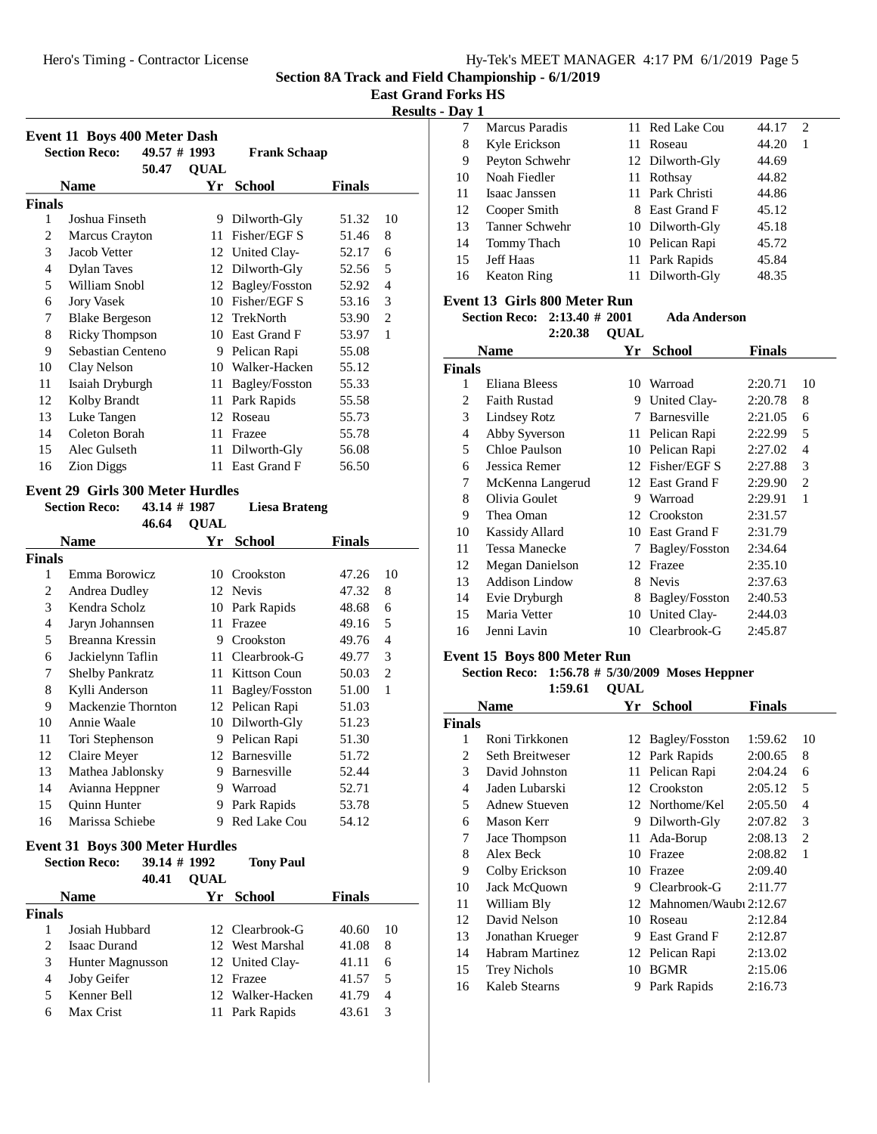**East Grand Forks HS**

**Results - Day 1** 

|               | Event 11 Boys 400 Meter Dash |              |             |                     |               |                |
|---------------|------------------------------|--------------|-------------|---------------------|---------------|----------------|
|               | <b>Section Reco:</b>         | 49.57 # 1993 |             | <b>Frank Schaap</b> |               |                |
|               |                              | 50.47        | <b>QUAL</b> |                     |               |                |
|               | <b>Name</b>                  |              | Yr          | <b>School</b>       | <b>Finals</b> |                |
| <b>Finals</b> |                              |              |             |                     |               |                |
| 1             | Joshua Finseth               |              | 9           | Dilworth-Gly        | 51.32         | 10             |
| 2             | Marcus Crayton               |              | 11          | Fisher/EGF S        | 51.46         | 8              |
| 3             | Jacob Vetter                 |              |             | 12 United Clay-     | 52.17         | 6              |
| 4             | <b>Dylan Taves</b>           |              | 12          | Dilworth-Gly        | 52.56         | 5              |
| 5             | William Snobl                |              | 12          | Bagley/Fosston      | 52.92         | $\overline{4}$ |
| 6             | <b>Jory Vasek</b>            |              | 10          | Fisher/EGF S        | 53.16         | 3              |
| 7             | <b>Blake Bergeson</b>        |              | 12          | TrekNorth           | 53.90         | $\overline{c}$ |
| 8             | <b>Ricky Thompson</b>        |              | 10          | East Grand F        | 53.97         | 1              |
| 9             | Sebastian Centeno            |              | 9           | Pelican Rapi        | 55.08         |                |
| 10            | Clay Nelson                  |              | 10          | Walker-Hacken       | 55.12         |                |
| 11            | Isaiah Dryburgh              |              | 11          | Bagley/Fosston      | 55.33         |                |
| 12            | Kolby Brandt                 |              | 11          | Park Rapids         | 55.58         |                |
| 13            | Luke Tangen                  |              | 12          | Roseau              | 55.73         |                |
| 14            | Coleton Borah                |              | 11          | Frazee              | 55.78         |                |
| 15            | Alec Gulseth                 |              | 11          | Dilworth-Gly        | 56.08         |                |
| 16            | <b>Zion Diggs</b>            |              | 11          | East Grand F        | 56.50         |                |

### **Event 29 Girls 300 Meter Hurdles**

|               | <b>Section Reco:</b>   | 43.14 # 1987 |             | Liesa Brateng       |               |    |
|---------------|------------------------|--------------|-------------|---------------------|---------------|----|
|               |                        | 46.64        | <b>QUAL</b> |                     |               |    |
|               | <b>Name</b>            |              | Yr          | <b>School</b>       | <b>Finals</b> |    |
| <b>Finals</b> |                        |              |             |                     |               |    |
| 1             | Emma Borowicz          |              | 10          | Crookston           | 47.26         | 10 |
| 2             | Andrea Dudley          |              | 12          | Nevis               | 47.32         | 8  |
| 3             | Kendra Scholz          |              | 10          | Park Rapids         | 48.68         | 6  |
| 4             | Jaryn Johannsen        |              | 11          | Frazee              | 49.16         | 5  |
| 5             | Breanna Kressin        |              | 9           | Crookston           | 49.76         | 4  |
| 6             | Jackielynn Taflin      |              | 11          | Clearbrook-G        | 49.77         | 3  |
| 7             | <b>Shelby Pankratz</b> |              | 11          | Kittson Coun        | 50.03         | 2  |
| 8             | Kylli Anderson         |              | 11          | Bagley/Fosston      | 51.00         | 1  |
| 9             | Mackenzie Thornton     |              | 12          | Pelican Rapi        | 51.03         |    |
| 10            | Annie Waale            |              | 10          | Dilworth-Gly        | 51.23         |    |
| 11            | Tori Stephenson        |              | 9           | Pelican Rapi        | 51.30         |    |
| 12            | Claire Meyer           |              | 12          | Barnesville         | 51.72         |    |
| 13            | Mathea Jablonsky       |              | 9           | Barnesville         | 52.44         |    |
| 14            | Avianna Heppner        |              | 9           | Warroad             | 52.71         |    |
| 15            | <b>Ouinn Hunter</b>    |              | 9           | Park Rapids         | 53.78         |    |
| 16            | Marissa Schiebe        |              | 9           | <b>Red Lake Cou</b> | 54.12         |    |
|               |                        |              |             |                     |               |    |

#### **Event 31 Boys 300 Meter Hurdles Section Reco:** 39.14 # 1992 Tony Paul

|               | əecuon ineco.    | JY.I4 # 1994 |             | топу гаш         |               |    |
|---------------|------------------|--------------|-------------|------------------|---------------|----|
|               |                  | 40.41        | <b>OUAL</b> |                  |               |    |
|               | <b>Name</b>      |              |             | Yr School        | <b>Finals</b> |    |
| <b>Finals</b> |                  |              |             |                  |               |    |
|               | Josiah Hubbard   |              |             | 12 Clearbrook-G  | 40.60         | 10 |
| 2             | Isaac Durand     |              |             | 12 West Marshal  | 41.08         | 8  |
| 3             | Hunter Magnusson |              |             | 12 United Clay-  | 41.11         | 6  |
| 4             | Joby Geifer      |              |             | 12 Frazee        | 41.57         | 5  |
| 5             | Kenner Bell      |              |             | 12 Walker-Hacken | 41.79         | 4  |
| 6             | Max Crist        |              |             | 11 Park Rapids   | 43.61         | 3  |
|               |                  |              |             |                  |               |    |

| — <b>…</b> , |                    |                 |            |  |
|--------------|--------------------|-----------------|------------|--|
|              | Marcus Paradis     | 11 Red Lake Cou | 44.17<br>2 |  |
| 8            | Kyle Erickson      | 11 Roseau       | 44.20<br>1 |  |
| 9            | Peyton Schwehr     | 12 Dilworth-Gly | 44.69      |  |
| 10           | Noah Fiedler       | 11 Rothsay      | 44.82      |  |
| 11           | Isaac Janssen      | 11 Park Christi | 44.86      |  |
| 12           | Cooper Smith       | 8 East Grand F  | 45.12      |  |
| 13           | Tanner Schwehr     | 10 Dilworth-Gly | 45.18      |  |
| 14           | Tommy Thach        | 10 Pelican Rapi | 45.72      |  |
| 15           | <b>Jeff Haas</b>   | 11 Park Rapids  | 45.84      |  |
| 16           | <b>Keaton Ring</b> | 11 Dilworth-Gly | 48.35      |  |
|              |                    |                 |            |  |

# **Event 13 Girls 800 Meter Run**

**Section Reco:** 2:13.40 # 2001 **Ada Anderson** 

|               | 2:20.38             | <b>OUAL</b> |                |               |                |
|---------------|---------------------|-------------|----------------|---------------|----------------|
|               | Name                | Yr          | <b>School</b>  | <b>Finals</b> |                |
| <b>Finals</b> |                     |             |                |               |                |
| 1             | Eliana Bleess       | 10          | Warroad        | 2:20.71       | 10             |
| 2             | <b>Faith Rustad</b> | 9           | United Clay-   | 2:20.78       | 8              |
| 3             | Lindsey Rotz        | 7           | Barnesville    | 2:21.05       | 6              |
| 4             | Abby Syverson       | 11          | Pelican Rapi   | 2:22.99       | 5              |
| 5             | Chloe Paulson       | 10          | Pelican Rapi   | 2:27.02       | 4              |
| 6             | Jessica Remer       | 12          | Fisher/EGF S   | 2:27.88       | 3              |
| 7             | McKenna Langerud    | 12          | East Grand F   | 2:29.90       | $\overline{c}$ |
| 8             | Olivia Goulet       | 9           | Warroad        | 2:29.91       | 1              |
| 9             | Thea Oman           | 12          | Crookston      | 2:31.57       |                |
| 10            | Kassidy Allard      | 10          | East Grand F   | 2:31.79       |                |
| 11            | Tessa Manecke       | 7           | Bagley/Fosston | 2:34.64       |                |
| 12            | Megan Danielson     | 12          | Frazee         | 2:35.10       |                |
| 13            | Addison Lindow      | 8           | <b>Nevis</b>   | 2:37.63       |                |
| 14            | Evie Dryburgh       | 8           | Bagley/Fosston | 2:40.53       |                |
| 15            | Maria Vetter        | 10          | United Clay-   | 2:44.03       |                |
| 16            | Jenni Lavin         | 10          | Clearbrook-G   | 2:45.87       |                |

# **Event 15 Boys 800 Meter Run**

# **Section Reco:** 1:56.78 # 5/30/2009 Moses Heppner

**1:59.61 OUAL** 

|        | Name                 | Yr | <b>School</b>          | <b>Finals</b> |                |
|--------|----------------------|----|------------------------|---------------|----------------|
| Finals |                      |    |                        |               |                |
| 1      | Roni Tirkkonen       |    | 12 Bagley/Fosston      | 1:59.62       | 10             |
| 2      | Seth Breitweser      |    | 12 Park Rapids         | 2:00.65       | 8              |
| 3      | David Johnston       | 11 | Pelican Rapi           | 2:04.24       | 6              |
| 4      | Jaden Lubarski       |    | 12 Crookston           | 2:05.12       | 5              |
| 5      | <b>Adnew Stueven</b> |    | 12 Northome/Kel        | 2:05.50       | 4              |
| 6      | Mason Kerr           | 9  | Dilworth-Gly           | 2:07.82       | 3              |
| 7      | Jace Thompson        | 11 | Ada-Borup              | 2:08.13       | $\overline{2}$ |
| 8      | Alex Beck            | 10 | Frazee                 | 2:08.82       | 1              |
| 9      | Colby Erickson       | 10 | Frazee                 | 2:09.40       |                |
| 10     | Jack McQuown         | 9  | Clearbrook-G           | 2:11.77       |                |
| 11     | William Bly          | 12 | Mahnomen/Waubi 2:12.67 |               |                |
| 12     | David Nelson         | 10 | Roseau                 | 2:12.84       |                |
| 13     | Jonathan Krueger     | 9  | East Grand F           | 2:12.87       |                |
| 14     | Habram Martinez      |    | 12 Pelican Rapi        | 2:13.02       |                |
| 15     | <b>Trey Nichols</b>  | 10 | <b>BGMR</b>            | 2:15.06       |                |
| 16     | Kaleb Stearns        | 9  | Park Rapids            | 2:16.73       |                |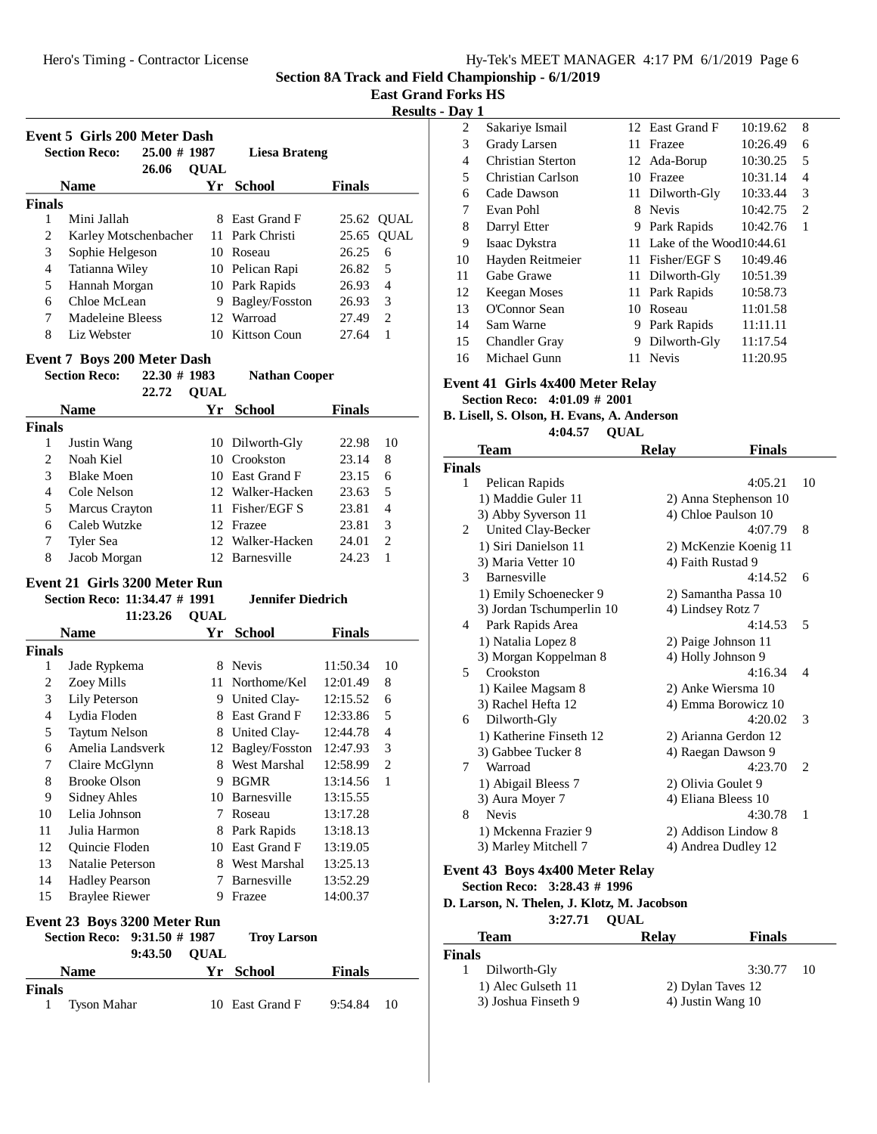2 Sakariye Ismail<br>2 East Grand F 10:19.62 8 3 Grady Larsen 11 Frazee 10:26.49 6 4 Christian Sterton 12 Ada-Borup 10:30.25 5 5 Christian Carlson 10 Frazee 10:31.14 4 6 Cade Dawson 11 Dilworth-Gly  $10:33.44 \quad 3$ 7 Evan Pohl 8 Nevis 10:42.75 2 8 Darryl Etter 9 Park Rapids 10:42.76 1 9 Isaac Dykstra 11 Lake of the Wood 10:44.61 10 Hayden Reitmeier 11 Fisher/EGF S 10:49.46 11 Gabe Grawe 11 Dilworth-Gly 10:51.39 12 Keegan Moses 11 Park Rapids 10:58.73 13 O'Connor Sean 10 Roseau 11:01.58 14 Sam Warne 9 Park Rapids 11:11.11 15 Chandler Gray 9 Dilworth-Gly 11:17.54 16 Michael Gunn 11 Nevis 11:20.95

**Section 8A Track and Field Championship - 6/1/2019**

**East Grand Forks HS**

**Pay 1**<br>2 Sakariye Ismail

|                |                                                                |             |                          |               | Results        |
|----------------|----------------------------------------------------------------|-------------|--------------------------|---------------|----------------|
|                | <b>Event 5 Girls 200 Meter Dash</b>                            |             |                          |               |                |
|                | <b>Section Reco:</b><br>25.00 # 1987                           |             | <b>Liesa Brateng</b>     |               |                |
|                | 26.06                                                          | <b>OUAL</b> |                          |               |                |
|                | <b>Name</b>                                                    |             | Yr School                | <b>Finals</b> |                |
| <b>Finals</b>  |                                                                |             |                          |               |                |
| 1              | Mini Jallah                                                    | 8           | East Grand F             | 25.62         | <b>QUAL</b>    |
| 2              | Karley Motschenbacher                                          | 11          | Park Christi             | 25.65         | <b>QUAL</b>    |
| 3              | Sophie Helgeson                                                |             | 10 Roseau                | 26.25         | 6              |
| $\overline{4}$ | Tatianna Wiley                                                 |             | 10 Pelican Rapi          | 26.82         | 5              |
| 5              | Hannah Morgan                                                  |             | 10 Park Rapids           | 26.93         | $\overline{4}$ |
| 6              | Chloe McLean                                                   |             | 9 Bagley/Fosston         | 26.93         | 3              |
| 7              | Madeleine Bleess                                               |             | 12 Warroad               | 27.49         | $\overline{c}$ |
| 8              | Liz Webster                                                    |             | 10 Kittson Coun          | 27.64         | $\mathbf{1}$   |
|                | Event 7 Boys 200 Meter Dash                                    |             |                          |               |                |
|                | <b>Section Reco:</b><br>$22.30$ # 1983                         |             | <b>Nathan Cooper</b>     |               |                |
|                | 22.72                                                          | <b>QUAL</b> |                          |               |                |
|                | <b>Name</b>                                                    |             | Yr School                | <b>Finals</b> |                |
| <b>Finals</b>  |                                                                |             |                          |               |                |
| 1              | Justin Wang                                                    |             | 10 Dilworth-Gly          | 22.98         | 10             |
| 2              | Noah Kiel                                                      |             | 10 Crookston             | 23.14         | 8              |
| 3              | <b>Blake Moen</b>                                              |             | 10 East Grand F          | 23.15         | 6              |
| 4              | Cole Nelson                                                    |             | 12 Walker-Hacken         | 23.63         | 5              |
| 5              | Marcus Crayton                                                 |             | 11 Fisher/EGF S          | 23.81         | $\overline{4}$ |
| 6              | Caleb Wutzke                                                   |             | 12 Frazee                | 23.81         | 3              |
| 7              | Tyler Sea                                                      |             | 12 Walker-Hacken         | 24.01         | 2              |
| 8              | Jacob Morgan                                                   |             | 12 Barnesville           | 24.23         | $\mathbf{1}$   |
|                |                                                                |             |                          |               |                |
|                | Event 21 Girls 3200 Meter Run<br>Section Reco: 11:34.47 # 1991 |             | <b>Jennifer Diedrich</b> |               |                |
|                |                                                                |             |                          |               |                |
|                | 11:23.26                                                       | <b>QUAL</b> |                          |               |                |
|                | <b>Name</b>                                                    | Yr          | <b>School</b>            | <b>Finals</b> |                |
| <b>Finals</b>  |                                                                |             |                          |               |                |
| 1              | Jade Rypkema                                                   | 8           | <b>Nevis</b>             | 11:50.34      | 10             |
| $\overline{c}$ | Zoey Mills                                                     | 11          | Northome/Kel             | 12:01.49      | 8              |
| 3              | Lily Peterson                                                  |             | 9 United Clay-           | 12:15.52      | 6              |
| $\overline{4}$ | Lydia Floden                                                   | 8           | East Grand F             | 12:33.86      | 5              |
| 5              | <b>Taytum Nelson</b>                                           | 8           | United Clay-             | 12:44.78      | 4              |

6 Amelia Landsverk 12 Bagley/Fosston 12:47.93 3 7 Claire McGlynn 8 West Marshal 12:58.99 2 8 Brooke Olson 9 BGMR 13:14.56 1 9 Sidney Ahles 10 Barnesville 13:15.55 10 Lelia Johnson 7 Roseau 13:17.28 11 Julia Harmon 8 Park Rapids 13:18.13 12 Ouincie Floden 10 East Grand F 13:19.05 13 Natalie Peterson 8 West Marshal 13:25.13 14 Hadley Pearson 7 Barnesville 13:52.29 15 Braylee Riewer 9 Frazee 14:00.37

**Event 23 Boys 3200 Meter Run**

**Finals**

**Section Reco:** 9:31.50 # 1987 **Troy Larson** 9:43.50 OUAL

**Name Yr School Finals**

1 Tyson Mahar 10 East Grand F 9:54.84 10

**Event 41 Girls 4x400 Meter Relay Section Reco: 4:01.09 # 2001**

#### **B. Lisell, S. Olson, H. Evans, A. Anderson** 4:04.57 QUAL

**Team Relay Finals Finals** 1 Pelican Rapids 4:05.21 10 1) Maddie Guler 11 2) Anna Stephenson 10 3) Abby Syverson 11 4) Chloe Paulson 10 2 United Clay-Becker 4:07.79 8<br>2) McKenzie Koenig 11 2) McKenzie Koenig 11 3) Maria Vetter 10 4) Faith Rustad 9 3 Barnesville 4:14.52 6 1) Emily Schoenecker 9 2) Samantha Passa 10 3) Jordan Tschumperlin 10 4) Lindsey Rotz 7 4 Park Rapids Area 4:14.53 5 1) Natalia Lopez 8 2) Paige Johnson 11 3) Morgan Koppelman 8 4) Holly Johnson 9 5 Crookston 4:16.34 4 1) Kailee Magsam 8 2) Anke Wiersma 10 3) Rachel Hefta 12 4) Emma Borowicz 10 6 Dilworth-Gly 4:20.02 3 1) Katherine Finseth 12 2) Arianna Gerdon 12 3) Gabbee Tucker 8 4) Raegan Dawson 9 7 Warroad 4:23.70 2 1) Abigail Bleess 7 2) Olivia Goulet 9 3) Aura Moyer 7 4) Eliana Bleess 10 8 Nevis 4:30.78 1 1) Mckenna Frazier 9 2) Addison Lindow 8 3) Marley Mitchell 7 4) Andrea Dudley 12

#### **Event 43 Boys 4x400 Meter Relay Section Reco: 3:28.43 # 1996**

**D. Larson, N. Thelen, J. Klotz, M. Jacobson**

|                     | 3:27.71 OUAL      |              |
|---------------------|-------------------|--------------|
| <b>Team</b>         | <b>Relay</b>      | Finals       |
| <b>Finals</b>       |                   |              |
| Dilworth-Gly        |                   | $3:30.77$ 10 |
| 1) Alec Gulseth 11  | 2) Dylan Taves 12 |              |
| 3) Joshua Finseth 9 | 4) Justin Wang 10 |              |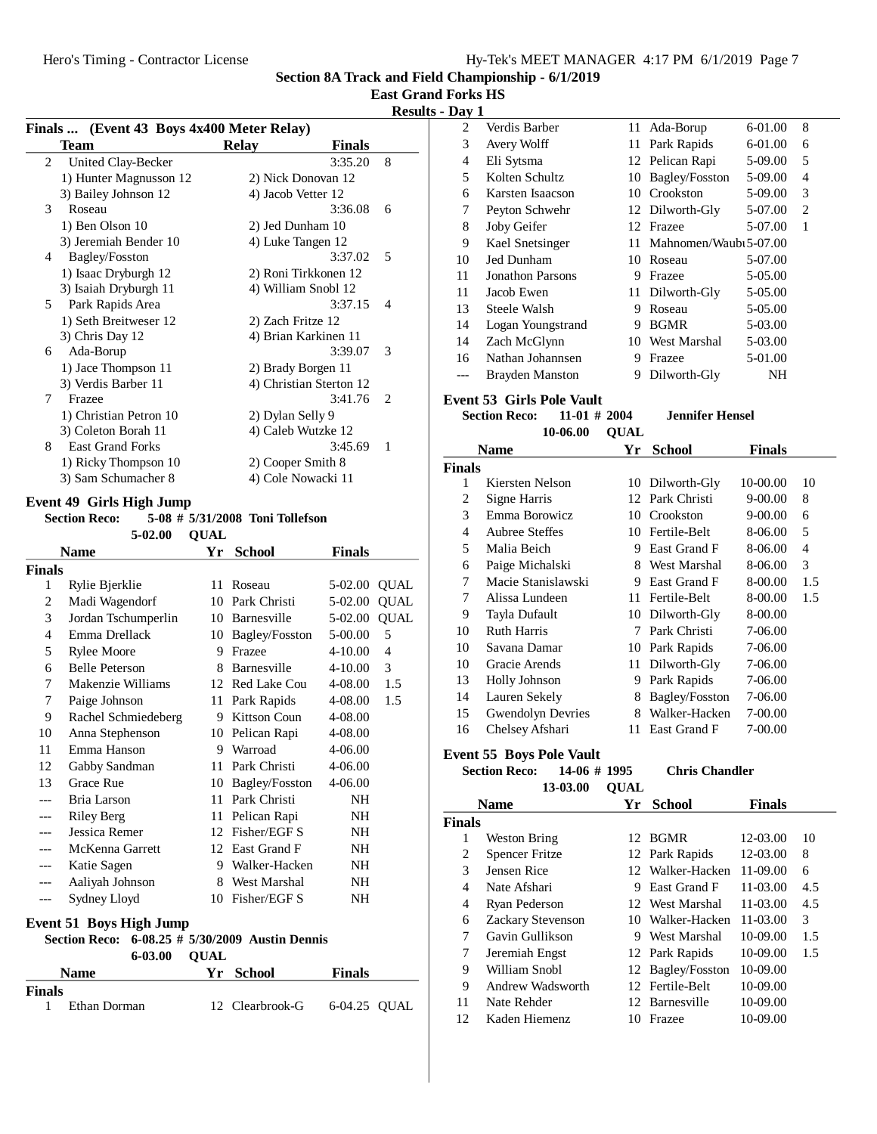# **East Grand Forks HS**

## **Results - Day 1**

| Finals  (Event 43 Boys 4x400 Meter Relay) |                         |                         |               |                             |  |  |
|-------------------------------------------|-------------------------|-------------------------|---------------|-----------------------------|--|--|
|                                           | Team                    | <b>Relay</b>            | <b>Finals</b> |                             |  |  |
| 2                                         | United Clay-Becker      |                         | 3:35.20       | 8                           |  |  |
|                                           | 1) Hunter Magnusson 12  | 2) Nick Donovan 12      |               |                             |  |  |
|                                           | 3) Bailey Johnson 12    | 4) Jacob Vetter 12      |               |                             |  |  |
| 3                                         | Roseau                  |                         | 3:36.08       | 6                           |  |  |
|                                           | 1) Ben Olson 10         | 2) Jed Dunham 10        |               |                             |  |  |
|                                           | 3) Jeremiah Bender 10   | 4) Luke Tangen 12       |               |                             |  |  |
| 4                                         | Bagley/Fosston          |                         | 3:37.02       | 5                           |  |  |
|                                           | 1) Isaac Dryburgh 12    | 2) Roni Tirkkonen 12    |               |                             |  |  |
|                                           | 3) Isaiah Dryburgh 11   | 4) William Snobl 12     |               |                             |  |  |
| 5                                         | Park Rapids Area        |                         | 3:37.15       | $\overline{4}$              |  |  |
|                                           | 1) Seth Breitweser 12   | 2) Zach Fritze 12       |               |                             |  |  |
|                                           | 3) Chris Day 12         | 4) Brian Karkinen 11    |               |                             |  |  |
| 6                                         | Ada-Borup               |                         | 3:39.07       | 3                           |  |  |
|                                           | 1) Jace Thompson 11     | 2) Brady Borgen 11      |               |                             |  |  |
|                                           | 3) Verdis Barber 11     | 4) Christian Sterton 12 |               |                             |  |  |
| 7                                         | Frazee                  |                         | 3:41.76       | $\mathcal{D}_{\mathcal{L}}$ |  |  |
|                                           | 1) Christian Petron 10  | 2) Dylan Selly 9        |               |                             |  |  |
|                                           | 3) Coleton Borah 11     | 4) Caleb Wutzke 12      |               |                             |  |  |
| 8                                         | <b>East Grand Forks</b> |                         | 3:45.69       | 1                           |  |  |
|                                           | 1) Ricky Thompson 10    | 2) Cooper Smith 8       |               |                             |  |  |
|                                           | 3) Sam Schumacher 8     | 4) Cole Nowacki 11      |               |                             |  |  |
|                                           |                         |                         |               |                             |  |  |

# **Event 49 Girls High Jump**

### **Section Reco:** 5-08 # 5/31/2008 Toni Tollefson  $\mathbf{UAL}$

| <b>Name</b>                                                                                                           |                       | Yr | <b>School</b>         | Finals      |             |  |
|-----------------------------------------------------------------------------------------------------------------------|-----------------------|----|-----------------------|-------------|-------------|--|
| Finals                                                                                                                |                       |    |                       |             |             |  |
| 1                                                                                                                     | Rylie Bjerklie        | 11 | Roseau                | 5-02.00     | <b>QUAL</b> |  |
| $\overline{2}$                                                                                                        | Madi Wagendorf        | 10 | Park Christi          | 5-02.00     | <b>QUAL</b> |  |
| 3                                                                                                                     | Jordan Tschumperlin   |    | 10 Barnesville        | 5-02.00     | <b>QUAL</b> |  |
| 4                                                                                                                     | Emma Drellack         | 10 | <b>Bagley/Fosston</b> | 5-00.00     | 5           |  |
| 5                                                                                                                     | <b>Rylee Moore</b>    | 9  | Frazee                | $4 - 10.00$ | 4           |  |
| 6                                                                                                                     | <b>Belle Peterson</b> | 8  | <b>Barnesville</b>    | $4 - 10.00$ | 3           |  |
| 7                                                                                                                     | Makenzie Williams     |    | 12 Red Lake Cou       | 4-08.00     | 1.5         |  |
| 7                                                                                                                     | Paige Johnson         | 11 | Park Rapids           | 4-08.00     | 1.5         |  |
| 9                                                                                                                     | Rachel Schmiedeberg   | 9  | Kittson Coun          | 4-08.00     |             |  |
| 10                                                                                                                    | Anna Stephenson       | 10 | Pelican Rapi          | 4-08.00     |             |  |
| 11                                                                                                                    | Emma Hanson           | 9  | Warroad               | $4 - 06.00$ |             |  |
| 12                                                                                                                    | Gabby Sandman         | 11 | Park Christi          | $4 - 06.00$ |             |  |
| 13                                                                                                                    | Grace Rue             | 10 | <b>Bagley/Fosston</b> | 4-06.00     |             |  |
|                                                                                                                       | Bria Larson           | 11 | Park Christi          | NH          |             |  |
|                                                                                                                       | <b>Riley Berg</b>     | 11 | Pelican Rapi          | NH          |             |  |
|                                                                                                                       | Jessica Remer         |    | 12 Fisher/EGF S       | NH          |             |  |
|                                                                                                                       | McKenna Garrett       |    | 12 East Grand F       | NH          |             |  |
| ---                                                                                                                   | Katie Sagen           | 9  | Walker-Hacken         | NH          |             |  |
| ---                                                                                                                   | Aaliyah Johnson       | 8  | West Marshal          | <b>NH</b>   |             |  |
| ---                                                                                                                   | Sydney Lloyd          | 10 | Fisher/EGF S          | NΗ          |             |  |
| <b>Event 51 Boys High Jump</b><br>6-08.25 # 5/30/2009 Austin Dennis<br><b>Section Reco:</b><br>6-03.00<br><b>QUAL</b> |                       |    |                       |             |             |  |

|             | $0 - 03.00$ $\cup$ $\Delta L$ |                 |               |  |
|-------------|-------------------------------|-----------------|---------------|--|
| <b>Name</b> |                               | Yr School       | <b>Finals</b> |  |
| Finals      |                               |                 |               |  |
|             | Ethan Dorman                  | 12 Clearbrook-G | 6-04.25 OUAL  |  |

| ij u y | л.                      |    |                        |         |                |  |
|--------|-------------------------|----|------------------------|---------|----------------|--|
| 2      | Verdis Barber           |    | 11 Ada-Borup           | 6-01.00 | 8              |  |
| 3      | Avery Wolff             | 11 | Park Rapids            | 6-01.00 | 6              |  |
| 4      | Eli Sytsma              |    | 12 Pelican Rapi        | 5-09.00 | 5              |  |
| 5      | Kolten Schultz          | 10 | Bagley/Fosston         | 5-09.00 | 4              |  |
| 6      | Karsten Isaacson        | 10 | Crookston              | 5-09.00 | 3              |  |
| 7      | Peyton Schwehr          |    | 12 Dilworth-Gly        | 5-07.00 | $\overline{c}$ |  |
| 8      | Joby Geifer             |    | 12 Frazee              | 5-07.00 | 1              |  |
| 9      | Kael Snetsinger         | 11 | Mahnomen/Waubi 5-07.00 |         |                |  |
| 10     | Jed Dunham              | 10 | Roseau                 | 5-07.00 |                |  |
| 11     | <b>Jonathon Parsons</b> | 9  | Frazee                 | 5-05.00 |                |  |
| 11     | Jacob Ewen              | 11 | Dilworth-Gly           | 5-05.00 |                |  |
| 13     | Steele Walsh            | 9  | Roseau                 | 5-05.00 |                |  |
| 14     | Logan Youngstrand       | 9  | <b>BGMR</b>            | 5-03.00 |                |  |
| 14     | Zach McGlynn            | 10 | West Marshal           | 5-03.00 |                |  |
| 16     | Nathan Johannsen        | 9  | Frazee                 | 5-01.00 |                |  |
|        | <b>Brayden Manston</b>  | 9  | Dilworth-Gly           | NH      |                |  |

# **Event 53 Girls Pole Vault**

**Section Reco:** 11-01 # 2004 **Jennifer Hensel** 10-06.00 **QUAL** 

| Name           |                          | Yr  | <b>School</b>  | <b>Finals</b> |     |
|----------------|--------------------------|-----|----------------|---------------|-----|
| <b>Finals</b>  |                          |     |                |               |     |
| 1              | Kiersten Nelson          | 10  | Dilworth-Gly   | 10-00.00      | 10  |
| 2              | Signe Harris             | 12  | Park Christi   | $9 - 00.00$   | 8   |
| 3              | Emma Borowicz            | 10  | Crookston      | $9 - 00.00$   | 6   |
| $\overline{4}$ | Aubree Steffes           | 10. | Fertile-Belt   | 8-06.00       | 5   |
| 5              | Malia Beich              | 9   | East Grand F   | 8-06.00       | 4   |
| 6              | Paige Michalski          | 8   | West Marshal   | 8-06.00       | 3   |
| 7              | Macie Stanislawski       | 9   | East Grand F   | 8-00.00       | 1.5 |
| 7              | Alissa Lundeen           | 11  | Fertile-Belt   | 8-00.00       | 1.5 |
| 9              | Tayla Dufault            | 10  | Dilworth-Gly   | 8-00.00       |     |
| 10             | <b>Ruth Harris</b>       | 7   | Park Christi   | 7-06.00       |     |
| 10             | Savana Damar             | 10  | Park Rapids    | 7-06.00       |     |
| 10             | Gracie Arends            | 11  | Dilworth-Gly   | 7-06.00       |     |
| 13             | <b>Holly Johnson</b>     | 9   | Park Rapids    | 7-06.00       |     |
| 14             | Lauren Sekely            | 8   | Bagley/Fosston | 7-06.00       |     |
| 15             | <b>Gwendolyn Devries</b> | 8   | Walker-Hacken  | 7-00.00       |     |
| 16             | Chelsey Afshari          | 11  | East Grand F   | 7-00.00       |     |

**Event 55 Boys Pole Vault**

# Section Reco: 14-06 # 1995 Chris Chandler 13-03.00 **QUAL**

| <b>Name</b> |                          | Yr                       | <b>School</b>     | <b>Finals</b> |     |
|-------------|--------------------------|--------------------------|-------------------|---------------|-----|
|             | <b>Finals</b>            |                          |                   |               |     |
| 1           | Weston Bring             | 12.                      | <b>BGMR</b>       | 12-03.00      | 10  |
| 2           | <b>Spencer Fritze</b>    |                          | 12 Park Rapids    | 12-03.00      | 8   |
| 3           | Jensen Rice              |                          | 12 Walker-Hacken  | $11-09.00$    | 6   |
| 4           | Nate Afshari             | 9.                       | East Grand F      | $11-03.00$    | 4.5 |
| 4           | Ryan Pederson            |                          | 12 West Marshal   | $11-03.00$    | 4.5 |
| 6           | <b>Zackary Stevenson</b> | 10.                      | Walker-Hacken     | $11-03.00$    | 3   |
| 7           | Gavin Gullikson          |                          | 9 West Marshal    | $10-09.00$    | 1.5 |
| 7           | Jeremiah Engst           |                          | 12 Park Rapids    | $10-09.00$    | 1.5 |
| 9           | William Snobl            |                          | 12 Bagley/Fosston | 10-09.00      |     |
| 9           | Andrew Wadsworth         |                          | 12 Fertile-Belt   | 10-09.00      |     |
| 11          | Nate Rehder              |                          | 12 Barnesville    | 10-09.00      |     |
| 12          | Kaden Hiemenz            | $\mathbf{I}(\mathbf{I})$ | Frazee            | 10-09.00      |     |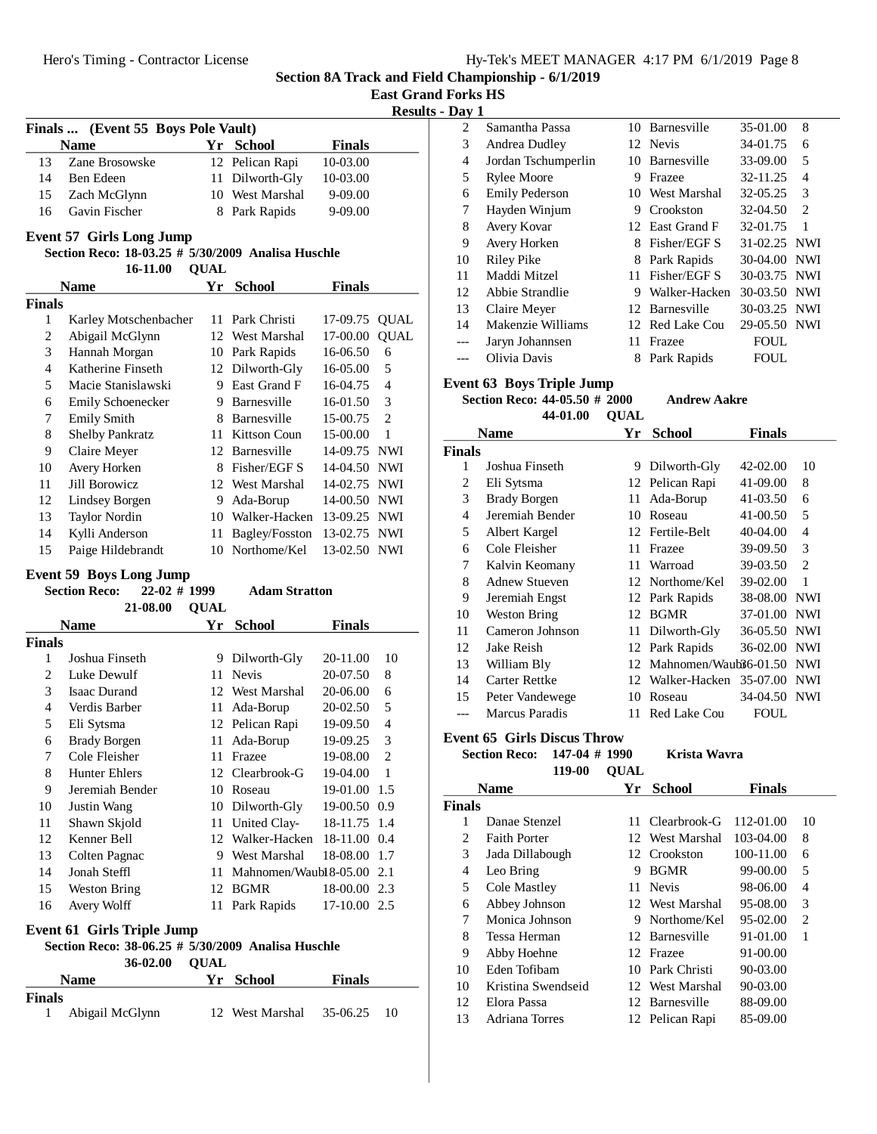|  | Hy-Tek's MEET MANAGER 4:17 PM 6/1/2019 Page 8 |  |  |
|--|-----------------------------------------------|--|--|
|  |                                               |  |  |

**Section 8A Track and Field Championship - 6/1/2019 East Grand Forks HS**

|                  |                                                                                       |             |                               |               |                | <b>Results - Day 1</b> |
|------------------|---------------------------------------------------------------------------------------|-------------|-------------------------------|---------------|----------------|------------------------|
|                  | Finals  (Event 55 Boys Pole Vault)                                                    |             |                               |               |                | 2                      |
|                  | <b>Name</b>                                                                           |             | Yr School                     | <b>Finals</b> |                | 3                      |
| 13               | Zane Brosowske                                                                        |             | 12 Pelican Rapi               | 10-03.00      |                | $\overline{4}$         |
| 14               | Ben Edeen                                                                             |             | 11 Dilworth-Gly               | 10-03.00      |                | 5                      |
| 15               | Zach McGlynn                                                                          |             | 10 West Marshal               | 9-09.00       |                | 6                      |
| 16               | Gavin Fischer                                                                         |             | 8 Park Rapids                 | 9-09.00       |                | 7                      |
|                  |                                                                                       |             |                               |               |                | 8                      |
|                  | <b>Event 57 Girls Long Jump</b><br>Section Reco: 18-03.25 # 5/30/2009 Analisa Huschle |             |                               |               |                | 9                      |
|                  | 16-11.00                                                                              | <b>QUAL</b> |                               |               |                | 10                     |
|                  | <b>Name</b>                                                                           |             | Yr School                     | <b>Finals</b> |                | 11                     |
| <b>Finals</b>    |                                                                                       |             |                               |               |                | 12                     |
| 1                | Karley Motschenbacher                                                                 |             | 11 Park Christi               | 17-09.75      | <b>QUAL</b>    | 13                     |
| $\boldsymbol{2}$ | Abigail McGlynn                                                                       |             | 12 West Marshal               | 17-00.00      | <b>QUAL</b>    | 14                     |
| 3                | Hannah Morgan                                                                         |             | 10 Park Rapids                | 16-06.50      | 6              | ---                    |
| $\overline{4}$   | Katherine Finseth                                                                     |             | 12 Dilworth-Gly               | 16-05.00      | 5              | ---                    |
| 5                | Macie Stanislawski                                                                    |             | 9 East Grand F                | 16-04.75      | $\overline{4}$ | <b>Event</b>           |
| 6                | <b>Emily Schoenecker</b>                                                              |             | 9 Barnesville                 | 16-01.50      | 3              | Sect                   |
| 7                | <b>Emily Smith</b>                                                                    |             | 8 Barnesville                 | 15-00.75      | $\overline{2}$ |                        |
| $\,$ 8 $\,$      | <b>Shelby Pankratz</b>                                                                |             | 11 Kittson Coun               | 15-00.00      | $\mathbf{1}$   | N                      |
| 9                | Claire Meyer                                                                          |             | 12 Barnesville                | 14-09.75 NWI  |                | <b>Finals</b>          |
| 10               | Avery Horken                                                                          |             | 8 Fisher/EGF S                | 14-04.50 NWI  |                | 1                      |
| 11               | Jill Borowicz                                                                         |             | 12 West Marshal               | 14-02.75 NWI  |                | $\overline{c}$         |
| 12               | Lindsey Borgen                                                                        |             | 9 Ada-Borup                   | 14-00.50 NWI  |                | 3                      |
| 13               | <b>Taylor Nordin</b>                                                                  |             | 10 Walker-Hacken 13-09.25 NWI |               |                | $\overline{4}$         |
| 14               | Kylli Anderson                                                                        | 11          | Bagley/Fosston                | 13-02.75 NWI  |                | 5                      |
| 15               | Paige Hildebrandt                                                                     |             | 10 Northome/Kel               | 13-02.50 NWI  |                | 6                      |
|                  |                                                                                       |             |                               |               |                | 7                      |
|                  | <b>Event 59 Boys Long Jump</b>                                                        |             |                               |               |                | 8                      |
|                  | $22-02$ # 1999<br><b>Section Reco:</b>                                                |             | <b>Adam Stratton</b>          |               |                | 9                      |
|                  | 21-08.00                                                                              | <b>QUAL</b> |                               |               |                | 10                     |
|                  | <b>Name</b>                                                                           |             | Yr School                     | <b>Finals</b> |                | 11                     |
| <b>Finals</b>    |                                                                                       |             |                               |               |                | 12                     |
| 1                | Joshua Finseth                                                                        |             | 9 Dilworth-Gly                | 20-11.00      | 10             | 13                     |
| $\overline{c}$   | Luke Dewulf                                                                           |             | 11 Nevis                      | 20-07.50      | 8              | 14                     |
| 3                | <b>Isaac Durand</b>                                                                   |             | 12 West Marshal               | 20-06.00      | 6              | 15                     |
| $\overline{4}$   | Verdis Barber                                                                         | 11          | Ada-Borup                     | 20-02.50      | 5              | ---                    |
| 5                | Eli Sytsma                                                                            |             | 12 Pelican Rapi               | 19-09.50      | $\overline{4}$ |                        |
| 6                | <b>Brady Borgen</b>                                                                   | 11          | Ada-Borup                     | 19-09.25      | 3              | Event                  |
| 7                | Cole Fleisher                                                                         |             | 11 Frazee                     | 19-08.00      | $\sqrt{2}$     | Sect                   |
| $\,8\,$          | Hunter Ehlers                                                                         |             | 12 Clearbrook-G               | 19-04.00      | $\mathbf{1}$   |                        |
| 9                | Jeremiah Bender                                                                       |             | 10 Roseau                     | 19-01.00      | 1.5            | Ŋ                      |
| 10               | Justin Wang                                                                           |             | 10 Dilworth-Gly               | 19-00.50 0.9  |                | <b>Finals</b>          |
| 11               | Shawn Skjold                                                                          |             | 11 United Clay-               | 18-11.75      | 1.4            | $\mathbf{1}$           |
| 12               | Kenner Bell                                                                           |             | 12 Walker-Hacken              | 18-11.00      | 0.4            | $\overline{c}$         |
| 13               | Colten Pagnac                                                                         |             | 9 West Marshal                | 18-08.00      | 1.7            | 3                      |
| 14               | Jonah Steffl                                                                          | 11          | Mahnomen/Waubl 8-05.00        |               | 2.1            | 4                      |
| 15               | <b>Weston Bring</b>                                                                   |             | 12 BGMR                       | 18-00.00 2.3  |                | 5                      |
| 16               | Avery Wolff                                                                           |             | 11 Park Rapids                | 17-10.00 2.5  |                | 6                      |

# **Event 61 Girls Triple Jump**

## **Section Reco: 38-06.25 #**  $\frac{1}{5}$ **/30/2009** Analisa Huschle **QUAL36-02.00**

| <b>Name</b>                      | Yr School                | <b>Finals</b> |    |  |
|----------------------------------|--------------------------|---------------|----|--|
| <b>Finals</b><br>Abigail McGlynn | 12 West Marshal 35-06.25 |               | 10 |  |

| - -- J |                       |     |                 |              |                |
|--------|-----------------------|-----|-----------------|--------------|----------------|
| 2      | Samantha Passa        |     | 10 Barnesville  | 35-01.00     | 8              |
| 3      | Andrea Dudley         |     | 12 Nevis        | 34-01.75     | 6              |
| 4      | Jordan Tschumperlin   |     | 10 Barnesville  | 33-09.00     | 5              |
| 5      | <b>Rylee Moore</b>    | 9   | Frazee          | 32-11.25     | $\overline{4}$ |
| 6      | <b>Emily Pederson</b> |     | 10 West Marshal | 32-05.25     | 3              |
| 7      | Hayden Winjum         | 9   | Crookston       | 32-04.50     | 2              |
| 8      | Avery Kovar           |     | 12 East Grand F | 32-01.75     | $\mathbf{1}$   |
| 9      | Avery Horken          | 8.  | Fisher/EGF S    | 31-02.25 NWI |                |
| 10     | Riley Pike            |     | 8 Park Rapids   | 30-04.00 NWI |                |
| 11     | Maddi Mitzel          |     | 11 Fisher/EGF S | 30-03.75 NWI |                |
| 12     | Abbie Strandlie       | 9   | Walker-Hacken   | 30-03.50 NWI |                |
| 13     | Claire Meyer          |     | 12 Barnesville  | 30-03.25 NWI |                |
| 14     | Makenzie Williams     |     | 12 Red Lake Cou | 29-05.50 NWI |                |
|        | Jaryn Johannsen       | 11. | Frazee          | <b>FOUL</b>  |                |
|        | Olivia Davis          | 8   | Park Rapids     | <b>FOUL</b>  |                |

# **Event 63 Boys Triple Jump**

**Section Reco: 44-05.50 # 2000** Andrew Aakre **QUAL44-01.00 Name Yr School Finals**

|               | Name                 | r r | <b>SCHOOL</b>         | r ınaıs      |                |
|---------------|----------------------|-----|-----------------------|--------------|----------------|
| <b>Finals</b> |                      |     |                       |              |                |
| 1             | Joshua Finseth       | 9   | Dilworth-Gly          | 42-02.00     | 10             |
| 2             | Eli Sytsma           |     | 12 Pelican Rapi       | 41-09.00     | 8              |
| 3             | <b>Brady Borgen</b>  | 11  | Ada-Borup             | 41-03.50     | 6              |
| 4             | Jeremiah Bender      | 10  | Roseau                | 41-00.50     | 5              |
| 5             | Albert Kargel        |     | 12 Fertile-Belt       | 40-04.00     | 4              |
| 6             | Cole Fleisher        | 11  | Frazee                | 39-09.50     | 3              |
| 7             | Kalvin Keomany       | 11  | Warroad               | 39-03.50     | $\overline{c}$ |
| 8             | <b>Adnew Stueven</b> |     | 12 Northome/Kel       | 39-02.00     | 1              |
| 9             | Jeremiah Engst       |     | 12 Park Rapids        | 38-08.00 NWI |                |
| 10            | Weston Bring         | 12  | <b>BGMR</b>           | 37-01.00 NWI |                |
| 11            | Cameron Johnson      | 11  | Dilworth-Gly          | 36-05.50 NWI |                |
| 12            | Jake Reish           |     | 12 Park Rapids        | 36-02.00     | NWI            |
| 13            | William Bly          | 12  | Mahnomen/Waub 6-01.50 |              | <b>NWI</b>     |
| 14            | Carter Rettke        | 12  | Walker-Hacken         | 35-07.00     | <b>NWI</b>     |
| 15            | Peter Vandewege      | 10  | Roseau                | 34-04.50     | NWI            |
| ---           | Marcus Paradis       | 11  | Red Lake Cou          | FOUL         |                |

#### **Event 65 Girls Discus Throw**

**Section Reco:** 147-04 # 1990 **Krista Wavra** 119-00 **QUAL** 

| <b>Name</b>   |                     | Yr  | School          | <b>Finals</b> |                |
|---------------|---------------------|-----|-----------------|---------------|----------------|
| <b>Finals</b> |                     |     |                 |               |                |
| 1             | Danae Stenzel       | 11  | Clearbrook-G    | 112-01.00     | 10             |
| 2             | <b>Faith Porter</b> |     | 12 West Marshal | $103 - 04.00$ | 8              |
| 3             | Jada Dillabough     | 12. | Crookston       | 100-11.00     | 6              |
| 4             | Leo Bring           | 9   | <b>BGMR</b>     | 99-00.00      | 5              |
| 5             | Cole Mastley        | 11  | <b>Nevis</b>    | 98-06.00      | 4              |
| 6             | Abbey Johnson       |     | 12 West Marshal | 95-08.00      | 3              |
| 7             | Monica Johnson      | 9   | Northome/Kel    | $95-02.00$    | $\overline{c}$ |
| 8             | Tessa Herman        |     | 12 Barnesville  | 91-01.00      | 1              |
| 9             | Abby Hoehne         |     | 12 Frazee       | $91 - 00.00$  |                |
| 10            | Eden Tofibam        |     | 10 Park Christi | 90-03.00      |                |
| 10            | Kristina Swendseid  |     | 12 West Marshal | 90-03.00      |                |
| 12            | Elora Passa         | 12. | Barnesville     | 88-09.00      |                |
| 13            | Adriana Torres      |     | 12 Pelican Rapi | 85-09.00      |                |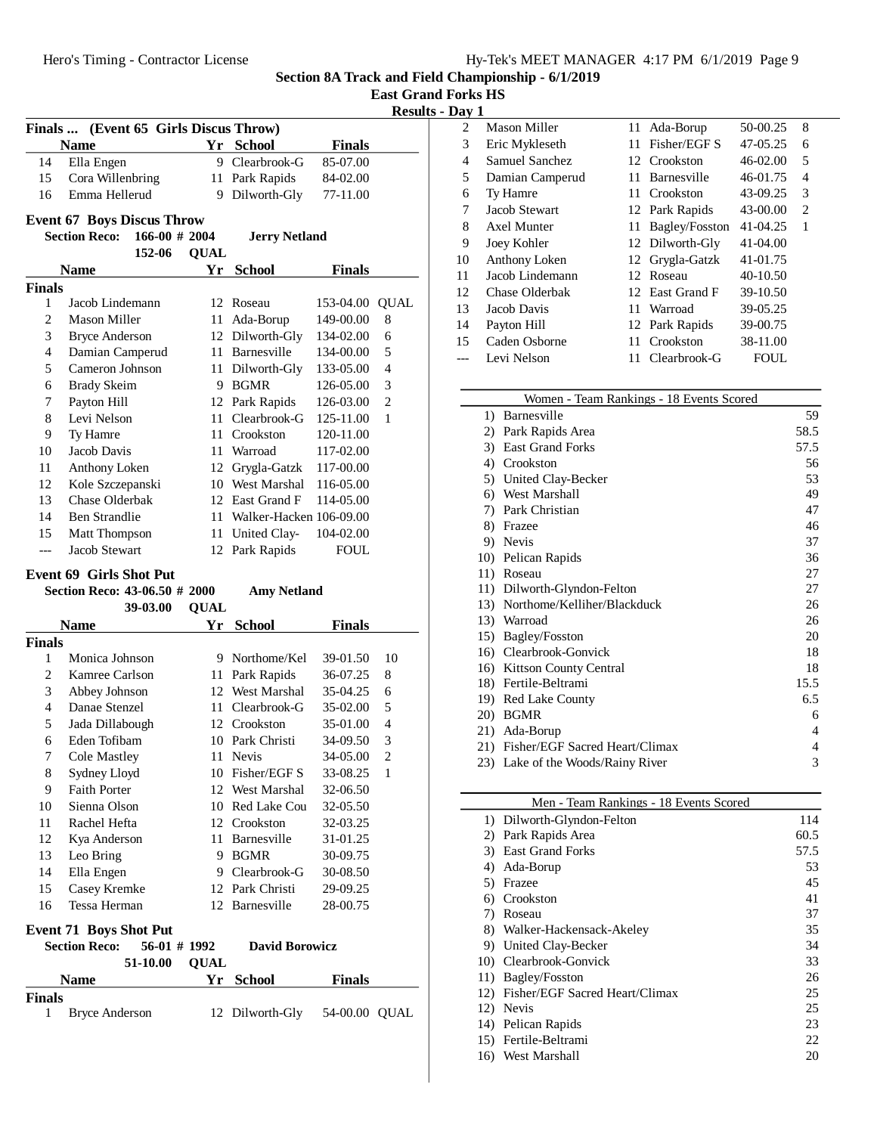|  | <b>East Grand Forks HS</b> |  |  |
|--|----------------------------|--|--|
|--|----------------------------|--|--|

# **Results - Day 1**

|               | Finals  (Event 65 Girls Discus Throw)                 |                 |             |                            |                      |                              |
|---------------|-------------------------------------------------------|-----------------|-------------|----------------------------|----------------------|------------------------------|
|               | <b>Name</b>                                           |                 |             | Yr School                  | <b>Finals</b>        |                              |
| 14            | Ella Engen                                            |                 | 9           | Clearbrook-G               | 85-07.00             |                              |
| 15            | Cora Willenbring                                      |                 | 11          | Park Rapids                | 84-02.00             |                              |
| 16            | Emma Hellerud                                         |                 | 9           | Dilworth-Gly               | 77-11.00             |                              |
|               | <b>Event 67 Boys Discus Throw</b>                     |                 |             |                            |                      |                              |
|               | <b>Section Reco:</b>                                  | $166-00$ # 2004 |             | <b>Jerry Netland</b>       |                      |                              |
|               |                                                       | 152-06          | <b>QUAL</b> |                            |                      |                              |
|               | <b>Name</b>                                           |                 | Yr          | <b>School</b>              | <b>Finals</b>        |                              |
| <b>Finals</b> |                                                       |                 |             |                            |                      |                              |
| 1             | Jacob Lindemann                                       |                 |             | 12 Roseau                  | 153-04.00            | <b>QUAL</b>                  |
| 2             | <b>Mason Miller</b>                                   |                 | 11          | Ada-Borup                  | 149-00.00            | 8                            |
| 3             | <b>Bryce Anderson</b>                                 |                 |             | 12 Dilworth-Gly            | 134-02.00            | 6                            |
| 4             | Damian Camperud                                       |                 |             | 11 Barnesville             | 134-00.00            | 5                            |
| 5             | Cameron Johnson                                       |                 |             | 11 Dilworth-Gly            | 133-05.00            | 4                            |
| 6             | <b>Brady Skeim</b>                                    |                 |             | 9 BGMR                     | 126-05.00            | 3                            |
| 7             | Payton Hill                                           |                 |             | 12 Park Rapids             | 126-03.00            | $\overline{2}$               |
| 8             | Levi Nelson                                           |                 |             | 11 Clearbrook-G            | 125-11.00            | 1                            |
| 9             | Ty Hamre                                              |                 |             | 11 Crookston               | 120-11.00            |                              |
| 10            | Jacob Davis                                           |                 |             | 11 Warroad                 | 117-02.00            |                              |
| 11            | Anthony Loken                                         |                 |             | 12 Grygla-Gatzk            | 117-00.00            |                              |
| 12            | Kole Szczepanski                                      |                 |             | 10 West Marshal            | 116-05.00            |                              |
| 13            | <b>Chase Olderbak</b>                                 |                 |             | 12 East Grand F            | 114-05.00            |                              |
| 14            | <b>Ben Strandlie</b>                                  |                 |             | 11 Walker-Hacken 106-09.00 |                      |                              |
| 15            | Matt Thompson                                         |                 |             | 11 United Clay-            | 104-02.00            |                              |
| ---           | Jacob Stewart                                         |                 |             | 12 Park Rapids             | FOUL                 |                              |
|               | <b>Event 69 Girls Shot Put</b>                        |                 |             |                            |                      |                              |
|               | Section Reco: 43-06.50 # 2000                         |                 |             | <b>Amy Netland</b>         |                      |                              |
|               |                                                       | 39-03.00        | <b>QUAL</b> |                            |                      |                              |
|               | <b>Name</b>                                           |                 | Yr          | <b>School</b>              | <b>Finals</b>        |                              |
| <b>Finals</b> |                                                       |                 |             |                            |                      |                              |
| 1             | Monica Johnson                                        |                 |             | 9 Northome/Kel             | 39-01.50             | 10                           |
| 2             | Kamree Carlson                                        |                 |             | 11 Park Rapids             | 36-07.25             | 8                            |
| 3             | Abbey Johnson                                         |                 |             | 12 West Marshal            | 35-04.25             | 6                            |
| 4             | Danae Stenzel                                         |                 |             | 11 Clearbrook-G            | 35-02.00             | 5                            |
| 5             | Jada Dillabough                                       |                 |             | 12 Crookston               | 35-01.00             | 4                            |
| 6             | Eden Tofibam                                          |                 |             | 10 Park Christi            | 34-09.50             | 3                            |
| 7<br>8        | Cole Mastley                                          |                 | 11          | Nevis<br>10 Fisher/EGF S   | 34-05.00<br>33-08.25 | $\overline{\mathbf{c}}$<br>1 |
| 9             | Sydney Lloyd<br><b>Faith Porter</b>                   |                 |             | 12 West Marshal            | 32-06.50             |                              |
| 10            | Sienna Olson                                          |                 |             | 10 Red Lake Cou            | 32-05.50             |                              |
| 11            | Rachel Hefta                                          |                 |             | 12 Crookston               | 32-03.25             |                              |
| 12            | Kya Anderson                                          |                 |             | 11 Barnesville             | 31-01.25             |                              |
| 13            | Leo Bring                                             |                 |             | 9 BGMR                     | 30-09.75             |                              |
| 14            | Ella Engen                                            |                 |             | 9 Clearbrook-G             | 30-08.50             |                              |
| 15            | Casey Kremke                                          |                 |             | 12 Park Christi            | 29-09.25             |                              |
| 16            | Tessa Herman                                          |                 |             | 12 Barnesville             | 28-00.75             |                              |
|               |                                                       |                 |             |                            |                      |                              |
|               | <b>Event 71 Boys Shot Put</b><br><b>Section Reco:</b> | 56-01 # 1992    |             | <b>David Borowicz</b>      |                      |                              |
|               |                                                       | 51-10.00        | <b>QUAL</b> |                            |                      |                              |
|               | <b>Name</b>                                           |                 | Yr          | <b>School</b>              | <b>Finals</b>        |                              |
| <b>Finals</b> |                                                       |                 |             |                            |                      |                              |
| 1             | <b>Bryce Anderson</b>                                 |                 |             | 12 Dilworth-Gly            | 54-00.00 QUAL        |                              |

| 2  | Mason Miller    | 11  | Ada-Borup       | 50-00.25     | 8 |  |
|----|-----------------|-----|-----------------|--------------|---|--|
| 3  | Eric Mykleseth  | 11  | Fisher/EGF S    | 47-05.25     | 6 |  |
| 4  | Samuel Sanchez  |     | 12 Crookston    | $46 - 02.00$ | 5 |  |
| 5  | Damian Camperud | 11. | Barnesville     | 46-01.75     | 4 |  |
| 6  | Ty Hamre        |     | 11 Crookston    | 43-09.25     | 3 |  |
| 7  | Jacob Stewart   |     | 12 Park Rapids  | 43-00.00     | 2 |  |
| 8  | Axel Munter     | 11  | Bagley/Fosston  | $41 - 04.25$ | 1 |  |
| 9  | Joey Kohler     |     | 12 Dilworth-Gly | 41-04.00     |   |  |
| 10 | Anthony Loken   |     | 12 Grygla-Gatzk | 41-01.75     |   |  |
| 11 | Jacob Lindemann | 12  | Roseau          | 40-10.50     |   |  |
| 12 | Chase Olderbak  |     | 12 East Grand F | 39-10.50     |   |  |
| 13 | Jacob Davis     | 11  | Warroad         | 39-05.25     |   |  |
| 14 | Payton Hill     |     | 12 Park Rapids  | 39-00.75     |   |  |
| 15 | Caden Osborne   | 11  | Crookston       | 38-11.00     |   |  |
|    | Levi Nelson     |     | 11 Clearbrook-G | <b>FOUL</b>  |   |  |
|    |                 |     |                 |              |   |  |

|                  | Women - Team Rankings - 18 Events Scored |      |
|------------------|------------------------------------------|------|
| $\left( \right)$ | Barnesville                              | 59   |
| 2)               | Park Rapids Area                         | 58.5 |
| 3)               | <b>East Grand Forks</b>                  | 57.5 |
| 4)               | Crookston                                | 56   |
| 5)               | United Clay-Becker                       | 53   |
| 6)               | West Marshall                            | 49   |
| 7)               | Park Christian                           | 47   |
| 8)               | Frazee                                   | 46   |
| 9)               | Nevis                                    | 37   |
| 10)              | Pelican Rapids                           | 36   |
| 11)              | Roseau                                   | 27   |
| 11)              | Dilworth-Glyndon-Felton                  | 27   |
|                  | 13) Northome/Kelliher/Blackduck          | 26   |
|                  | 13) Warroad                              | 26   |
| 15)              | Bagley/Fosston                           | 20   |
|                  | 16) Clearbrook-Gonvick                   | 18   |
| 16)              | <b>Kittson County Central</b>            | 18   |
|                  | 18) Fertile-Beltrami                     | 15.5 |
| 19)              | <b>Red Lake County</b>                   | 6.5  |
| <b>20</b>        | <b>BGMR</b>                              | 6    |
| 21)              | Ada-Borup                                | 4    |
| 21)              | Fisher/EGF Sacred Heart/Climax           | 4    |
|                  | 23) Lake of the Woods/Rainy River        | 3    |
|                  |                                          |      |

|     | Men - Team Rankings - 18 Events Scored |      |
|-----|----------------------------------------|------|
|     | 1) Dilworth-Glyndon-Felton             | 114  |
| 2)  | Park Rapids Area                       | 60.5 |
| 3)  | <b>East Grand Forks</b>                | 57.5 |
| 4)  | Ada-Borup                              | 53   |
| 5)  | Frazee                                 | 45   |
| 6)  | Crookston                              | 41   |
| 7)  | Roseau                                 | 37   |
| 8)  | Walker-Hackensack-Akeley               | 35   |
| 9)  | United Clay-Becker                     | 34   |
| 10) | Clearbrook-Gonvick                     | 33   |
|     | 11) Bagley/Fosston                     | 26   |
| 12) | Fisher/EGF Sacred Heart/Climax         | 25   |
|     | 12) Nevis                              | 25   |
|     | 14) Pelican Rapids                     | 23   |
|     | 15) Fertile-Beltrami                   | 22.  |
| 16) | West Marshall                          | 20   |
|     |                                        |      |